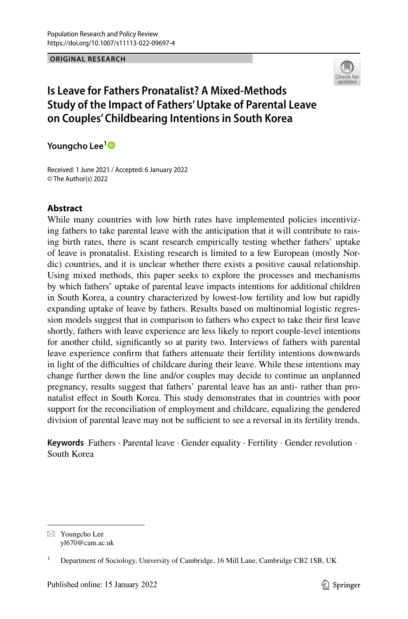#### **ORIGINAL RESEARCH**



# **Is Leave for Fathers Pronatalist? A Mixed‑Methods Study of the Impact of Fathers' Uptake of Parental Leave on Couples' Childbearing Intentions in South Korea**

**Youngcho Lee[1](http://orcid.org/0000-0001-6592-0420)**

Received: 1 June 2021 / Accepted: 6 January 2022 © The Author(s) 2022

### **Abstract**

While many countries with low birth rates have implemented policies incentivizing fathers to take parental leave with the anticipation that it will contribute to raising birth rates, there is scant research empirically testing whether fathers' uptake of leave is pronatalist. Existing research is limited to a few European (mostly Nordic) countries, and it is unclear whether there exists a positive causal relationship. Using mixed methods, this paper seeks to explore the processes and mechanisms by which fathers' uptake of parental leave impacts intentions for additional children in South Korea, a country characterized by lowest-low fertility and low but rapidly expanding uptake of leave by fathers. Results based on multinomial logistic regression models suggest that in comparison to fathers who expect to take their frst leave shortly, fathers with leave experience are less likely to report couple-level intentions for another child, signifcantly so at parity two. Interviews of fathers with parental leave experience confrm that fathers attenuate their fertility intentions downwards in light of the difficulties of childcare during their leave. While these intentions may change further down the line and/or couples may decide to continue an unplanned pregnancy, results suggest that fathers' parental leave has an anti- rather than pronatalist efect in South Korea. This study demonstrates that in countries with poor support for the reconciliation of employment and childcare, equalizing the gendered division of parental leave may not be sufficient to see a reversal in its fertility trends.

**Keywords** Fathers · Parental leave · Gender equality · Fertility · Gender revolution · South Korea

 $\boxtimes$  Youngcho Lee yl670@cam.ac.uk

<sup>1</sup> Department of Sociology, University of Cambridge, 16 Mill Lane, Cambridge CB2 1SB, UK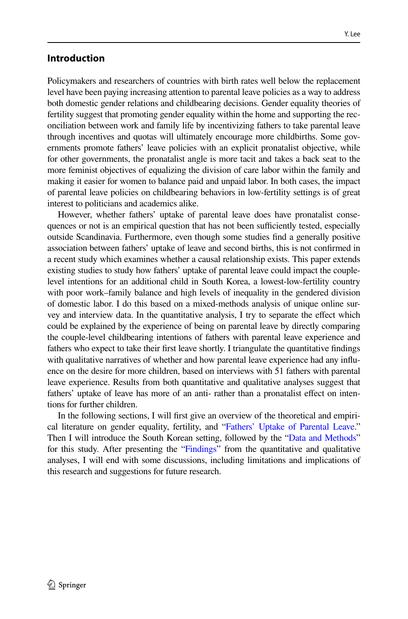## **Introduction**

Policymakers and researchers of countries with birth rates well below the replacement level have been paying increasing attention to parental leave policies as a way to address both domestic gender relations and childbearing decisions. Gender equality theories of fertility suggest that promoting gender equality within the home and supporting the reconciliation between work and family life by incentivizing fathers to take parental leave through incentives and quotas will ultimately encourage more childbirths. Some governments promote fathers' leave policies with an explicit pronatalist objective, while for other governments, the pronatalist angle is more tacit and takes a back seat to the more feminist objectives of equalizing the division of care labor within the family and making it easier for women to balance paid and unpaid labor. In both cases, the impact of parental leave policies on childbearing behaviors in low-fertility settings is of great interest to politicians and academics alike.

However, whether fathers' uptake of parental leave does have pronatalist consequences or not is an empirical question that has not been sufficiently tested, especially outside Scandinavia. Furthermore, even though some studies fnd a generally positive association between fathers' uptake of leave and second births, this is not confrmed in a recent study which examines whether a causal relationship exists. This paper extends existing studies to study how fathers' uptake of parental leave could impact the couplelevel intentions for an additional child in South Korea, a lowest-low-fertility country with poor work–family balance and high levels of inequality in the gendered division of domestic labor. I do this based on a mixed-methods analysis of unique online survey and interview data. In the quantitative analysis, I try to separate the efect which could be explained by the experience of being on parental leave by directly comparing the couple-level childbearing intentions of fathers with parental leave experience and fathers who expect to take their frst leave shortly. I triangulate the quantitative fndings with qualitative narratives of whether and how parental leave experience had any infuence on the desire for more children, based on interviews with 51 fathers with parental leave experience. Results from both quantitative and qualitative analyses suggest that fathers' uptake of leave has more of an anti- rather than a pronatalist efect on intentions for further children.

In the following sections, I will frst give an overview of the theoretical and empirical literature on gender equality, fertility, and ["Fathers' Uptake of Parental Leave.](#page-11-0)" Then I will introduce the South Korean setting, followed by the ["Data and Methods"](#page-9-0) for this study. After presenting the "[Findings](#page-13-0)" from the quantitative and qualitative analyses, I will end with some discussions, including limitations and implications of this research and suggestions for future research.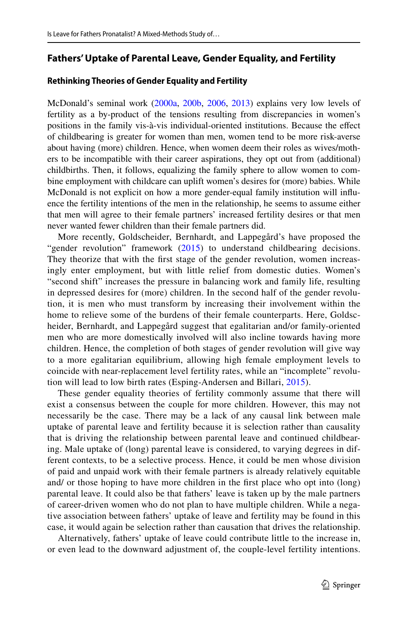### **Fathers' Uptake of Parental Leave, Gender Equality, and Fertility**

#### **Rethinking Theories of Gender Equality and Fertility**

McDonald's seminal work [\(2000a,](#page-28-0) [200b](#page-28-1), [2006](#page-28-2), [2013\)](#page-28-3) explains very low levels of fertility as a by-product of the tensions resulting from discrepancies in women's positions in the family vis-à-vis individual-oriented institutions. Because the efect of childbearing is greater for women than men, women tend to be more risk-averse about having (more) children. Hence, when women deem their roles as wives/mothers to be incompatible with their career aspirations, they opt out from (additional) childbirths. Then, it follows, equalizing the family sphere to allow women to combine employment with childcare can uplift women's desires for (more) babies. While McDonald is not explicit on how a more gender-equal family institution will infuence the fertility intentions of the men in the relationship, he seems to assume either that men will agree to their female partners' increased fertility desires or that men never wanted fewer children than their female partners did.

More recently, Goldscheider, Bernhardt, and Lappegård's have proposed the "gender revolution" framework [\(2015\)](#page-28-4) to understand childbearing decisions. They theorize that with the frst stage of the gender revolution, women increasingly enter employment, but with little relief from domestic duties. Women's "second shift" increases the pressure in balancing work and family life, resulting in depressed desires for (more) children. In the second half of the gender revolution, it is men who must transform by increasing their involvement within the home to relieve some of the burdens of their female counterparts. Here, Goldscheider, Bernhardt, and Lappegård suggest that egalitarian and/or family-oriented men who are more domestically involved will also incline towards having more children. Hence, the completion of both stages of gender revolution will give way to a more egalitarian equilibrium, allowing high female employment levels to coincide with near-replacement level fertility rates, while an "incomplete" revolution will lead to low birth rates (Esping-Andersen and Billari, [2015](#page-28-5)).

These gender equality theories of fertility commonly assume that there will exist a consensus between the couple for more children. However, this may not necessarily be the case. There may be a lack of any causal link between male uptake of parental leave and fertility because it is selection rather than causality that is driving the relationship between parental leave and continued childbearing. Male uptake of (long) parental leave is considered, to varying degrees in different contexts, to be a selective process. Hence, it could be men whose division of paid and unpaid work with their female partners is already relatively equitable and/ or those hoping to have more children in the frst place who opt into (long) parental leave. It could also be that fathers' leave is taken up by the male partners of career-driven women who do not plan to have multiple children. While a negative association between fathers' uptake of leave and fertility may be found in this case, it would again be selection rather than causation that drives the relationship.

Alternatively, fathers' uptake of leave could contribute little to the increase in, or even lead to the downward adjustment of, the couple-level fertility intentions.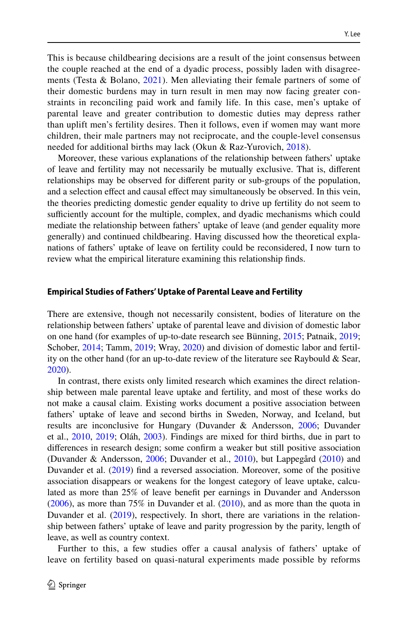This is because childbearing decisions are a result of the joint consensus between the couple reached at the end of a dyadic process, possibly laden with disagreements (Testa & Bolano,  $2021$ ). Men alleviating their female partners of some of their domestic burdens may in turn result in men may now facing greater constraints in reconciling paid work and family life. In this case, men's uptake of parental leave and greater contribution to domestic duties may depress rather than uplift men's fertility desires. Then it follows, even if women may want more children, their male partners may not reciprocate, and the couple-level consensus needed for additional births may lack (Okun & Raz-Yurovich, [2018](#page-29-1)).

Moreover, these various explanations of the relationship between fathers' uptake of leave and fertility may not necessarily be mutually exclusive. That is, diferent relationships may be observed for diferent parity or sub-groups of the population, and a selection efect and causal efect may simultaneously be observed. In this vein, the theories predicting domestic gender equality to drive up fertility do not seem to sufficiently account for the multiple, complex, and dyadic mechanisms which could mediate the relationship between fathers' uptake of leave (and gender equality more generally) and continued childbearing. Having discussed how the theoretical explanations of fathers' uptake of leave on fertility could be reconsidered, I now turn to review what the empirical literature examining this relationship fnds.

#### **Empirical Studies of Fathers' Uptake of Parental Leave and Fertility**

There are extensive, though not necessarily consistent, bodies of literature on the relationship between fathers' uptake of parental leave and division of domestic labor on one hand (for examples of up-to-date research see Bünning, [2015](#page-27-0); Patnaik, [2019;](#page-29-2) Schober, [2014;](#page-29-3) Tamm, [2019](#page-29-4); Wray, [2020](#page-29-5)) and division of domestic labor and fertility on the other hand (for an up-to-date review of the literature see Raybould & Sear, [2020](#page-29-6)).

In contrast, there exists only limited research which examines the direct relationship between male parental leave uptake and fertility, and most of these works do not make a causal claim. Existing works document a positive association between fathers' uptake of leave and second births in Sweden, Norway, and Iceland, but results are inconclusive for Hungary (Duvander & Andersson, [2006](#page-27-1); Duvander et al., [2010](#page-27-2), [2019](#page-28-6); Oláh, [2003\)](#page-29-7). Findings are mixed for third births, due in part to diferences in research design; some confrm a weaker but still positive association (Duvander & Andersson, [2006](#page-27-1); Duvander et al., [2010](#page-27-2)), but Lappegård [\(2010](#page-28-7)) and Duvander et al. [\(2019](#page-28-6)) fnd a reversed association. Moreover, some of the positive association disappears or weakens for the longest category of leave uptake, calculated as more than 25% of leave beneft per earnings in Duvander and Andersson [\(2006](#page-27-1)), as more than 75% in Duvander et al. [\(2010](#page-27-2)), and as more than the quota in Duvander et al. ([2019\)](#page-28-6), respectively. In short, there are variations in the relationship between fathers' uptake of leave and parity progression by the parity, length of leave, as well as country context.

Further to this, a few studies offer a causal analysis of fathers' uptake of leave on fertility based on quasi-natural experiments made possible by reforms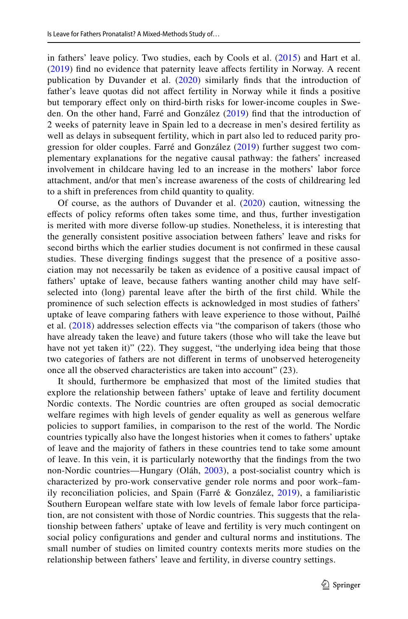in fathers' leave policy. Two studies, each by Cools et al. ([2015](#page-27-3)) and Hart et al. [\(2019](#page-28-8)) fnd no evidence that paternity leave afects fertility in Norway. A recent publication by Duvander et al. [\(2020\)](#page-28-9) similarly finds that the introduction of father's leave quotas did not affect fertility in Norway while it finds a positive but temporary efect only on third-birth risks for lower-income couples in Sweden. On the other hand, Farré and González ([2019\)](#page-28-10) fnd that the introduction of 2 weeks of paternity leave in Spain led to a decrease in men's desired fertility as well as delays in subsequent fertility, which in part also led to reduced parity progression for older couples. Farré and González [\(2019](#page-28-10)) further suggest two complementary explanations for the negative causal pathway: the fathers' increased involvement in childcare having led to an increase in the mothers' labor force attachment, and/or that men's increase awareness of the costs of childrearing led to a shift in preferences from child quantity to quality.

Of course, as the authors of Duvander et al. ([2020\)](#page-28-9) caution, witnessing the efects of policy reforms often takes some time, and thus, further investigation is merited with more diverse follow-up studies. Nonetheless, it is interesting that the generally consistent positive association between fathers' leave and risks for second births which the earlier studies document is not confrmed in these causal studies. These diverging fndings suggest that the presence of a positive association may not necessarily be taken as evidence of a positive causal impact of fathers' uptake of leave, because fathers wanting another child may have selfselected into (long) parental leave after the birth of the frst child. While the prominence of such selection effects is acknowledged in most studies of fathers' uptake of leave comparing fathers with leave experience to those without, Pailhé et al.  $(2018)$  $(2018)$  $(2018)$  addresses selection effects via "the comparison of takers (those who have already taken the leave) and future takers (those who will take the leave but have not yet taken it)" (22). They suggest, "the underlying idea being that those two categories of fathers are not diferent in terms of unobserved heterogeneity once all the observed characteristics are taken into account" (23).

It should, furthermore be emphasized that most of the limited studies that explore the relationship between fathers' uptake of leave and fertility document Nordic contexts. The Nordic countries are often grouped as social democratic welfare regimes with high levels of gender equality as well as generous welfare policies to support families, in comparison to the rest of the world. The Nordic countries typically also have the longest histories when it comes to fathers' uptake of leave and the majority of fathers in these countries tend to take some amount of leave. In this vein, it is particularly noteworthy that the fndings from the two non-Nordic countries—Hungary (Oláh, [2003\)](#page-29-7), a post-socialist country which is characterized by pro-work conservative gender role norms and poor work–family reconciliation policies, and Spain (Farré & González, [2019\)](#page-28-10), a familiaristic Southern European welfare state with low levels of female labor force participation, are not consistent with those of Nordic countries. This suggests that the relationship between fathers' uptake of leave and fertility is very much contingent on social policy confgurations and gender and cultural norms and institutions. The small number of studies on limited country contexts merits more studies on the relationship between fathers' leave and fertility, in diverse country settings.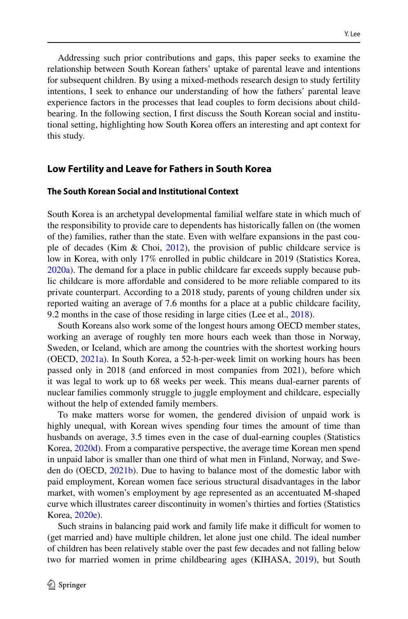Addressing such prior contributions and gaps, this paper seeks to examine the relationship between South Korean fathers' uptake of parental leave and intentions for subsequent children. By using a mixed-methods research design to study fertility intentions, I seek to enhance our understanding of how the fathers' parental leave experience factors in the processes that lead couples to form decisions about childbearing. In the following section, I frst discuss the South Korean social and institutional setting, highlighting how South Korea ofers an interesting and apt context for this study.

### **Low Fertility and Leave for Fathers in South Korea**

#### **The South Korean Social and Institutional Context**

South Korea is an archetypal developmental familial welfare state in which much of the responsibility to provide care to dependents has historically fallen on (the women of the) families, rather than the state. Even with welfare expansions in the past couple of decades (Kim & Choi, [2012\)](#page-28-11), the provision of public childcare service is low in Korea, with only 17% enrolled in public childcare in 2019 (Statistics Korea, [2020a](#page-29-9)). The demand for a place in public childcare far exceeds supply because public childcare is more afordable and considered to be more reliable compared to its private counterpart. According to a 2018 study, parents of young children under six reported waiting an average of 7.6 months for a place at a public childcare facility, 9.2 months in the case of those residing in large cities (Lee et al., [2018](#page-28-12)).

South Koreans also work some of the longest hours among OECD member states, working an average of roughly ten more hours each week than those in Norway, Sweden, or Iceland, which are among the countries with the shortest working hours (OECD, [2021a\)](#page-29-10). In South Korea, a 52-h-per-week limit on working hours has been passed only in 2018 (and enforced in most companies from 2021), before which it was legal to work up to 68 weeks per week. This means dual-earner parents of nuclear families commonly struggle to juggle employment and childcare, especially without the help of extended family members.

To make matters worse for women, the gendered division of unpaid work is highly unequal, with Korean wives spending four times the amount of time than husbands on average, 3.5 times even in the case of dual-earning couples (Statistics Korea, [2020d](#page-29-11)). From a comparative perspective, the average time Korean men spend in unpaid labor is smaller than one third of what men in Finland, Norway, and Sweden do (OECD, [2021b](#page-29-12)). Due to having to balance most of the domestic labor with paid employment, Korean women face serious structural disadvantages in the labor market, with women's employment by age represented as an accentuated M-shaped curve which illustrates career discontinuity in women's thirties and forties (Statistics Korea, [2020e\)](#page-29-13).

Such strains in balancing paid work and family life make it difficult for women to (get married and) have multiple children, let alone just one child. The ideal number of children has been relatively stable over the past few decades and not falling below two for married women in prime childbearing ages (KIHASA, [2019\)](#page-28-13), but South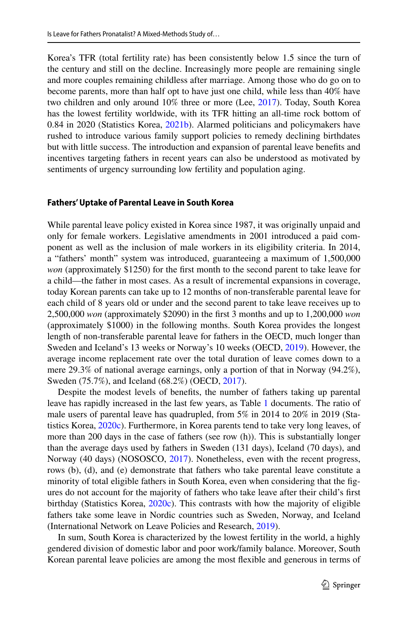Korea's TFR (total fertility rate) has been consistently below 1.5 since the turn of the century and still on the decline. Increasingly more people are remaining single and more couples remaining childless after marriage. Among those who do go on to become parents, more than half opt to have just one child, while less than 40% have two children and only around 10% three or more (Lee, [2017](#page-28-14)). Today, South Korea has the lowest fertility worldwide, with its TFR hitting an all-time rock bottom of 0.84 in 2020 (Statistics Korea, [2021b](#page-29-14)). Alarmed politicians and policymakers have rushed to introduce various family support policies to remedy declining birthdates but with little success. The introduction and expansion of parental leave benefts and incentives targeting fathers in recent years can also be understood as motivated by sentiments of urgency surrounding low fertility and population aging.

#### **Fathers' Uptake of Parental Leave in South Korea**

While parental leave policy existed in Korea since 1987, it was originally unpaid and only for female workers. Legislative amendments in 2001 introduced a paid component as well as the inclusion of male workers in its eligibility criteria. In 2014, a "fathers' month" system was introduced, guaranteeing a maximum of 1,500,000 *won* (approximately \$1250) for the first month to the second parent to take leave for a child—the father in most cases. As a result of incremental expansions in coverage, today Korean parents can take up to 12 months of non-transferable parental leave for each child of 8 years old or under and the second parent to take leave receives up to 2,500,000 *won* (approximately \$2090) in the frst 3 months and up to 1,200,000 *won* (approximately \$1000) in the following months. South Korea provides the longest length of non-transferable parental leave for fathers in the OECD, much longer than Sweden and Iceland's 13 weeks or Norway's 10 weeks (OECD, [2019](#page-29-15)). However, the average income replacement rate over the total duration of leave comes down to a mere 29.3% of national average earnings, only a portion of that in Norway (94.2%), Sweden (75.7%), and Iceland (68.2%) (OECD, [2017](#page-28-15)).

Despite the modest levels of benefts, the number of fathers taking up parental leave has rapidly increased in the last few years, as Table [1](#page-7-0) documents. The ratio of male users of parental leave has quadrupled, from 5% in 2014 to 20% in 2019 (Statistics Korea, [2020c](#page-29-16)). Furthermore, in Korea parents tend to take very long leaves, of more than 200 days in the case of fathers (see row (h)). This is substantially longer than the average days used by fathers in Sweden (131 days), Iceland (70 days), and Norway (40 days) (NOSOSCO, [2017\)](#page-28-16). Nonetheless, even with the recent progress, rows (b), (d), and (e) demonstrate that fathers who take parental leave constitute a minority of total eligible fathers in South Korea, even when considering that the fgures do not account for the majority of fathers who take leave after their child's frst birthday (Statistics Korea, [2020c](#page-29-16)). This contrasts with how the majority of eligible fathers take some leave in Nordic countries such as Sweden, Norway, and Iceland (International Network on Leave Policies and Research, [2019](#page-28-17)).

In sum, South Korea is characterized by the lowest fertility in the world, a highly gendered division of domestic labor and poor work/family balance. Moreover, South Korean parental leave policies are among the most fexible and generous in terms of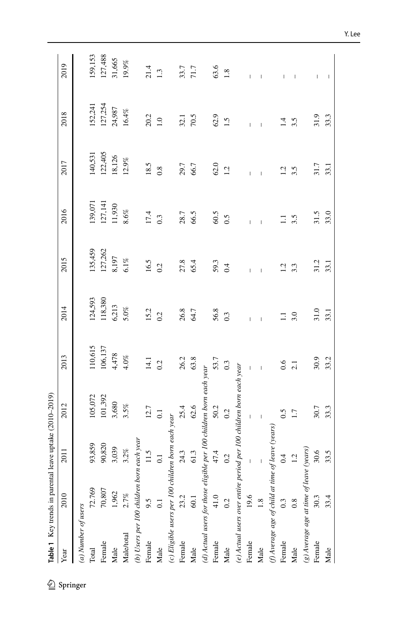<span id="page-7-0"></span>

| Year                | 2010                                               | 2011                                                                                                                                                                                                                                                                                                                                                                                                           | 2012                                                                | 2013           | 2014    | 2015    | 2016     | 2017           | 2018    | 2019    |
|---------------------|----------------------------------------------------|----------------------------------------------------------------------------------------------------------------------------------------------------------------------------------------------------------------------------------------------------------------------------------------------------------------------------------------------------------------------------------------------------------------|---------------------------------------------------------------------|----------------|---------|---------|----------|----------------|---------|---------|
| (a) Number of users |                                                    |                                                                                                                                                                                                                                                                                                                                                                                                                |                                                                     |                |         |         |          |                |         |         |
| Total               | 72.769                                             | 93,859                                                                                                                                                                                                                                                                                                                                                                                                         | 105,072                                                             | 110,615        | 124,593 | 135,459 | 139,071  | 140,531        | 152,241 | 159,153 |
| Female              | $70,807$                                           | 90,820                                                                                                                                                                                                                                                                                                                                                                                                         | 101,392                                                             | 106,137        | 118,380 | 127,262 | 127, 141 | 122,405        | 127,254 | 127,488 |
| Male                | 1,962                                              | 3,039                                                                                                                                                                                                                                                                                                                                                                                                          | 3,680                                                               | 4,478          | 6,213   | 8,197   | 11,930   | 18,126         | 24,987  | 31,665  |
| Male/total          | 2.7%                                               | $3.2\%$                                                                                                                                                                                                                                                                                                                                                                                                        | 3.5%                                                                | $4.0\%$        | $5.0\%$ | $6.1\%$ | $8.6\%$  | $12.9\%$       | 16.4%   | 19.9%   |
|                     | (b) Users per 100 children born each year          |                                                                                                                                                                                                                                                                                                                                                                                                                |                                                                     |                |         |         |          |                |         |         |
| Female              | 9.5                                                | 11.5                                                                                                                                                                                                                                                                                                                                                                                                           | 12.7                                                                | 14.1           | 15.2    | 16.5    | 17.4     | 18.5           | 20.2    | 21.4    |
| Male                | $\overline{0}$                                     | $\overline{0}$ .                                                                                                                                                                                                                                                                                                                                                                                               | $\overline{0.1}$                                                    | 0.2            | 0.2     | 0.2     | 0.3      | 0.8            | 1.0     | 1.3     |
|                     | (c) Eligible users per 100 children born each year |                                                                                                                                                                                                                                                                                                                                                                                                                |                                                                     |                |         |         |          |                |         |         |
| Female              | 23.2                                               | 24.3                                                                                                                                                                                                                                                                                                                                                                                                           | 25.4                                                                | 26.2           | 26.8    | 27.8    | 28.7     | 29.7           | 32.1    | 33.7    |
| Male                | 60.1                                               | 61.3                                                                                                                                                                                                                                                                                                                                                                                                           | $62.6$                                                              | 63.8           | 64.7    | 65.4    | 66.5     | 66.7           | 70.5    | 71.7    |
|                     |                                                    |                                                                                                                                                                                                                                                                                                                                                                                                                | (d) Actual users for those eligible per 100 children born each year |                |         |         |          |                |         |         |
| Female              | 41.0                                               | 47.4                                                                                                                                                                                                                                                                                                                                                                                                           | 50.2                                                                | 53.7           | 56.8    | 59.3    | 60.5     | $62.0$         | 62.9    | 63.6    |
| Male                | 0.2                                                | 0.2                                                                                                                                                                                                                                                                                                                                                                                                            | 0.2                                                                 | 0.3            | 0.3     | $0.4\,$ | 0.5      | 1.2            | 1.5     | $1.8\,$ |
|                     |                                                    |                                                                                                                                                                                                                                                                                                                                                                                                                | (e) Actual users over entire period per 100 children born each year |                |         |         |          |                |         |         |
| Female              | 19.6                                               | $\begin{array}{c} \rule{0pt}{2ex} \rule{0pt}{2ex} \rule{0pt}{2ex} \rule{0pt}{2ex} \rule{0pt}{2ex} \rule{0pt}{2ex} \rule{0pt}{2ex} \rule{0pt}{2ex} \rule{0pt}{2ex} \rule{0pt}{2ex} \rule{0pt}{2ex} \rule{0pt}{2ex} \rule{0pt}{2ex} \rule{0pt}{2ex} \rule{0pt}{2ex} \rule{0pt}{2ex} \rule{0pt}{2ex} \rule{0pt}{2ex} \rule{0pt}{2ex} \rule{0pt}{2ex} \rule{0pt}{2ex} \rule{0pt}{2ex} \rule{0pt}{2ex} \rule{0pt}{$ | $\overline{1}$                                                      | $\overline{1}$ |         |         |          |                |         |         |
| Male                | 1.8                                                | $\mathsf I$                                                                                                                                                                                                                                                                                                                                                                                                    |                                                                     |                |         |         |          |                |         |         |
|                     | (f) Average age of child at time of leave (years)  |                                                                                                                                                                                                                                                                                                                                                                                                                |                                                                     |                |         |         |          |                |         |         |
| Female              | 0.3                                                | 0.4                                                                                                                                                                                                                                                                                                                                                                                                            | 0.5                                                                 | 0.6            |         |         |          | $\overline{c}$ | 4.      |         |
| Male                | 0.8                                                | 1.2                                                                                                                                                                                                                                                                                                                                                                                                            | 1.7                                                                 | 2.1            | 3.0     | 3.3     | 3.5      | 3.5            | 3.5     |         |
|                     | (g) Average age at time of leave                   | (years)                                                                                                                                                                                                                                                                                                                                                                                                        |                                                                     |                |         |         |          |                |         |         |
| Female              | 30.3                                               | 30.6                                                                                                                                                                                                                                                                                                                                                                                                           | $30.7$                                                              | 30.9           | 31.0    | 31.2    | 31.5     | 31.7           | 31.9    | I       |
| Male                | 33.4                                               | 33.5                                                                                                                                                                                                                                                                                                                                                                                                           | 33.3                                                                | 33.2           | 33.1    | 33.1    | 33.0     | 33.1           | 33.3    |         |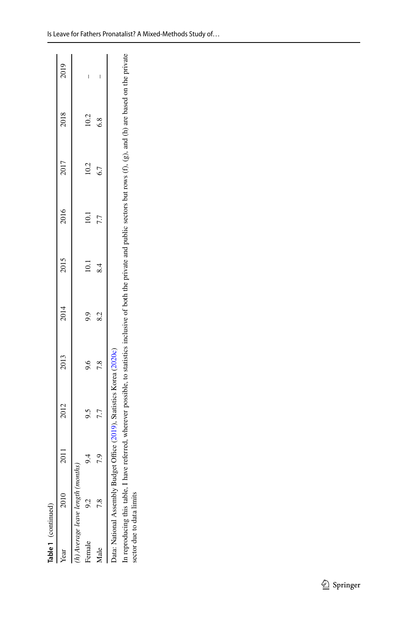| Ĭ      |
|--------|
| ż<br>I |
|        |
| L      |

| Table 1 (continued)       |                                  |      |                                                                        |                                                                                                                                                         |      |       |      |      |      |      |
|---------------------------|----------------------------------|------|------------------------------------------------------------------------|---------------------------------------------------------------------------------------------------------------------------------------------------------|------|-------|------|------|------|------|
| ear                       | 2010                             | 2011 | 2012                                                                   | 2013                                                                                                                                                    | 2014 | 2015  | 2016 | 2017 | 2018 | 2019 |
|                           | h) Average leave length (months) |      |                                                                        |                                                                                                                                                         |      |       |      |      |      |      |
| Female                    |                                  |      | 9.5                                                                    | 9.6                                                                                                                                                     | 9.9  | $\Xi$ | 10.1 | 10.2 | 10.2 | I    |
| Male                      |                                  | 7.9  | 7.7                                                                    | 7.8                                                                                                                                                     | 8.2  | 8.4   | 7.7  | 6.7  | 6.8  |      |
|                           |                                  |      | Data: National Assembly Budget Office (2019), Statistics Korea (2020c) |                                                                                                                                                         |      |       |      |      |      |      |
| sector due to data limits | n reproducing this table, I have |      |                                                                        | referred, wherever possible, to statistics inclusive of both the private and public sectors but rows $(f)$ , $(g)$ , and $(h)$ are based on the private |      |       |      |      |      |      |

In reproducing this table, I have referred, wherever possible, to statistics inclusive of both the private and public sectors but rows (f), (g), and (h) are based on the private sector due to data limits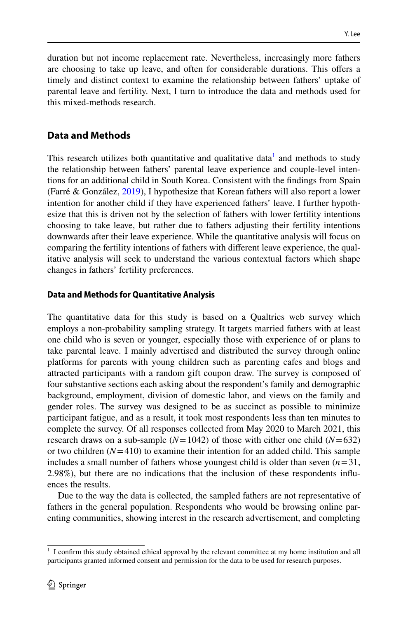duration but not income replacement rate. Nevertheless, increasingly more fathers are choosing to take up leave, and often for considerable durations. This ofers a timely and distinct context to examine the relationship between fathers' uptake of parental leave and fertility. Next, I turn to introduce the data and methods used for this mixed-methods research.

## <span id="page-9-0"></span>**Data and Methods**

This research utilizes both quantitative and qualitative data<sup>1</sup> and methods to study the relationship between fathers' parental leave experience and couple-level intentions for an additional child in South Korea. Consistent with the fndings from Spain (Farré & González, [2019](#page-28-10)), I hypothesize that Korean fathers will also report a lower intention for another child if they have experienced fathers' leave. I further hypothesize that this is driven not by the selection of fathers with lower fertility intentions choosing to take leave, but rather due to fathers adjusting their fertility intentions downwards after their leave experience. While the quantitative analysis will focus on comparing the fertility intentions of fathers with diferent leave experience, the qualitative analysis will seek to understand the various contextual factors which shape changes in fathers' fertility preferences.

## **Data and Methods for Quantitative Analysis**

The quantitative data for this study is based on a Qualtrics web survey which employs a non-probability sampling strategy. It targets married fathers with at least one child who is seven or younger, especially those with experience of or plans to take parental leave. I mainly advertised and distributed the survey through online platforms for parents with young children such as parenting cafes and blogs and attracted participants with a random gift coupon draw. The survey is composed of four substantive sections each asking about the respondent's family and demographic background, employment, division of domestic labor, and views on the family and gender roles. The survey was designed to be as succinct as possible to minimize participant fatigue, and as a result, it took most respondents less than ten minutes to complete the survey. Of all responses collected from May 2020 to March 2021, this research draws on a sub-sample  $(N=1042)$  of those with either one child  $(N=632)$ or two children  $(N=410)$  to examine their intention for an added child. This sample includes a small number of fathers whose youngest child is older than seven  $(n=31,$ 2.98%), but there are no indications that the inclusion of these respondents infuences the results.

Due to the way the data is collected, the sampled fathers are not representative of fathers in the general population. Respondents who would be browsing online parenting communities, showing interest in the research advertisement, and completing

<span id="page-9-1"></span> $1$  I confirm this study obtained ethical approval by the relevant committee at my home institution and all participants granted informed consent and permission for the data to be used for research purposes.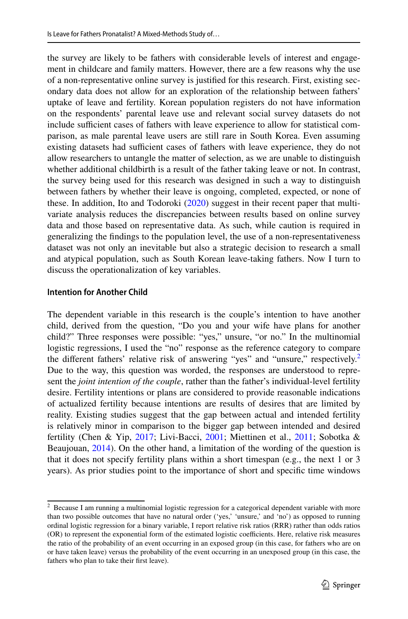the survey are likely to be fathers with considerable levels of interest and engagement in childcare and family matters. However, there are a few reasons why the use of a non-representative online survey is justifed for this research. First, existing secondary data does not allow for an exploration of the relationship between fathers' uptake of leave and fertility. Korean population registers do not have information on the respondents' parental leave use and relevant social survey datasets do not include sufficient cases of fathers with leave experience to allow for statistical comparison, as male parental leave users are still rare in South Korea. Even assuming existing datasets had sufficient cases of fathers with leave experience, they do not allow researchers to untangle the matter of selection, as we are unable to distinguish whether additional childbirth is a result of the father taking leave or not. In contrast, the survey being used for this research was designed in such a way to distinguish between fathers by whether their leave is ongoing, completed, expected, or none of these. In addition, Ito and Todoroki ([2020\)](#page-28-19) suggest in their recent paper that multivariate analysis reduces the discrepancies between results based on online survey data and those based on representative data. As such, while caution is required in generalizing the fndings to the population level, the use of a non-representativeness dataset was not only an inevitable but also a strategic decision to research a small and atypical population, such as South Korean leave-taking fathers. Now I turn to discuss the operationalization of key variables.

### **Intention for Another Child**

The dependent variable in this research is the couple's intention to have another child, derived from the question, "Do you and your wife have plans for another child?" Three responses were possible: "yes," unsure, "or no." In the multinomial logistic regressions, I used the "no" response as the reference category to compare the different fathers' relative risk of answering "yes" and "unsure," respectively.<sup>[2](#page-10-0)</sup> Due to the way, this question was worded, the responses are understood to represent the *joint intention of the couple*, rather than the father's individual-level fertility desire. Fertility intentions or plans are considered to provide reasonable indications of actualized fertility because intentions are results of desires that are limited by reality. Existing studies suggest that the gap between actual and intended fertility is relatively minor in comparison to the bigger gap between intended and desired fertility (Chen & Yip, [2017;](#page-27-4) Livi-Bacci, [2001](#page-28-20); Miettinen et al., [2011](#page-28-21); Sobotka & Beaujouan, [2014](#page-29-17)). On the other hand, a limitation of the wording of the question is that it does not specify fertility plans within a short timespan (e.g., the next 1 or 3 years). As prior studies point to the importance of short and specifc time windows

<span id="page-10-0"></span> $2$  Because I am running a multinomial logistic regression for a categorical dependent variable with more than two possible outcomes that have no natural order ('yes,' 'unsure,' and 'no') as opposed to running ordinal logistic regression for a binary variable, I report relative risk ratios (RRR) rather than odds ratios (OR) to represent the exponential form of the estimated logistic coefficients. Here, relative risk measures the ratio of the probability of an event occurring in an exposed group (in this case, for fathers who are on or have taken leave) versus the probability of the event occurring in an unexposed group (in this case, the fathers who plan to take their frst leave).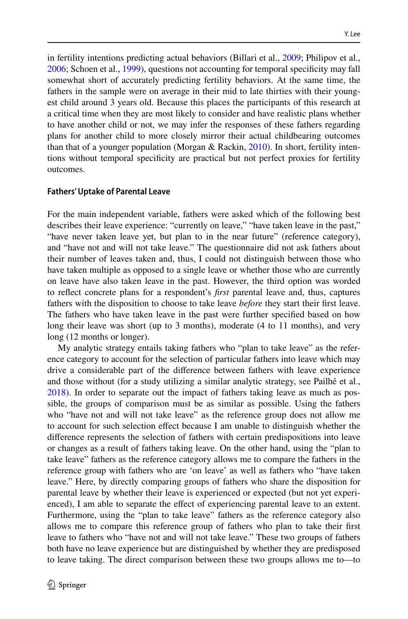in fertility intentions predicting actual behaviors (Billari et al., [2009](#page-27-5); Philipov et al., [2006](#page-29-18); Schoen et al., [1999\)](#page-29-19), questions not accounting for temporal specifcity may fall somewhat short of accurately predicting fertility behaviors. At the same time, the fathers in the sample were on average in their mid to late thirties with their youngest child around 3 years old. Because this places the participants of this research at a critical time when they are most likely to consider and have realistic plans whether to have another child or not, we may infer the responses of these fathers regarding plans for another child to more closely mirror their actual childbearing outcomes than that of a younger population (Morgan & Rackin, [2010\)](#page-28-22). In short, fertility intentions without temporal specifcity are practical but not perfect proxies for fertility outcomes.

### <span id="page-11-0"></span>**Fathers' Uptake of Parental Leave**

For the main independent variable, fathers were asked which of the following best describes their leave experience: "currently on leave," "have taken leave in the past," "have never taken leave yet, but plan to in the near future" (reference category), and "have not and will not take leave." The questionnaire did not ask fathers about their number of leaves taken and, thus, I could not distinguish between those who have taken multiple as opposed to a single leave or whether those who are currently on leave have also taken leave in the past. However, the third option was worded to refect concrete plans for a respondent's *frst* parental leave and, thus, captures fathers with the disposition to choose to take leave *before* they start their frst leave. The fathers who have taken leave in the past were further specifed based on how long their leave was short (up to 3 months), moderate (4 to 11 months), and very long (12 months or longer).

My analytic strategy entails taking fathers who "plan to take leave" as the reference category to account for the selection of particular fathers into leave which may drive a considerable part of the diference between fathers with leave experience and those without (for a study utilizing a similar analytic strategy, see Pailhé et al., [2018](#page-29-8)). In order to separate out the impact of fathers taking leave as much as possible, the groups of comparison must be as similar as possible. Using the fathers who "have not and will not take leave" as the reference group does not allow me to account for such selection efect because I am unable to distinguish whether the diference represents the selection of fathers with certain predispositions into leave or changes as a result of fathers taking leave. On the other hand, using the "plan to take leave" fathers as the reference category allows me to compare the fathers in the reference group with fathers who are 'on leave' as well as fathers who "have taken leave." Here, by directly comparing groups of fathers who share the disposition for parental leave by whether their leave is experienced or expected (but not yet experienced), I am able to separate the efect of experiencing parental leave to an extent. Furthermore, using the "plan to take leave" fathers as the reference category also allows me to compare this reference group of fathers who plan to take their frst leave to fathers who "have not and will not take leave." These two groups of fathers both have no leave experience but are distinguished by whether they are predisposed to leave taking. The direct comparison between these two groups allows me to—to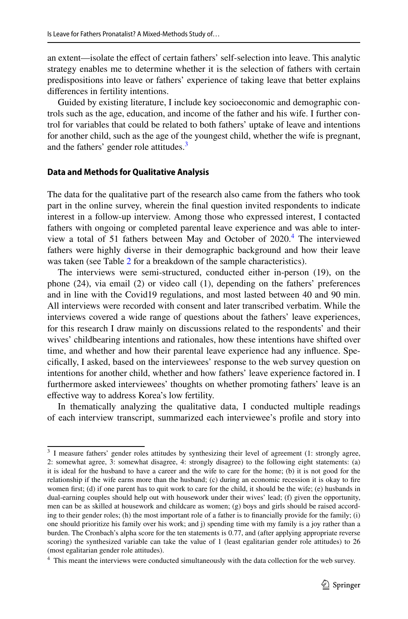an extent—isolate the efect of certain fathers' self-selection into leave. This analytic strategy enables me to determine whether it is the selection of fathers with certain predispositions into leave or fathers' experience of taking leave that better explains diferences in fertility intentions.

Guided by existing literature, I include key socioeconomic and demographic controls such as the age, education, and income of the father and his wife. I further control for variables that could be related to both fathers' uptake of leave and intentions for another child, such as the age of the youngest child, whether the wife is pregnant, and the fathers' gender role attitudes.<sup>3</sup>

### **Data and Methods for Qualitative Analysis**

The data for the qualitative part of the research also came from the fathers who took part in the online survey, wherein the fnal question invited respondents to indicate interest in a follow-up interview. Among those who expressed interest, I contacted fathers with ongoing or completed parental leave experience and was able to interview a total of 51 fathers between May and October of 2020.[4](#page-12-1) The interviewed fathers were highly diverse in their demographic background and how their leave was taken (see Table [2](#page-13-1) for a breakdown of the sample characteristics).

The interviews were semi-structured, conducted either in-person (19), on the phone (24), via email (2) or video call (1), depending on the fathers' preferences and in line with the Covid19 regulations, and most lasted between 40 and 90 min. All interviews were recorded with consent and later transcribed verbatim. While the interviews covered a wide range of questions about the fathers' leave experiences, for this research I draw mainly on discussions related to the respondents' and their wives' childbearing intentions and rationales, how these intentions have shifted over time, and whether and how their parental leave experience had any infuence. Specifcally, I asked, based on the interviewees' response to the web survey question on intentions for another child, whether and how fathers' leave experience factored in. I furthermore asked interviewees' thoughts on whether promoting fathers' leave is an efective way to address Korea's low fertility.

In thematically analyzing the qualitative data, I conducted multiple readings of each interview transcript, summarized each interviewee's profle and story into

<span id="page-12-0"></span><sup>&</sup>lt;sup>3</sup> I measure fathers' gender roles attitudes by synthesizing their level of agreement (1: strongly agree, 2: somewhat agree, 3: somewhat disagree, 4: strongly disagree) to the following eight statements: (a) it is ideal for the husband to have a career and the wife to care for the home; (b) it is not good for the relationship if the wife earns more than the husband; (c) during an economic recession it is okay to fre women frst; (d) if one parent has to quit work to care for the child, it should be the wife; (e) husbands in dual-earning couples should help out with housework under their wives' lead; (f) given the opportunity, men can be as skilled at housework and childcare as women; (g) boys and girls should be raised according to their gender roles; (h) the most important role of a father is to fnancially provide for the family; (i) one should prioritize his family over his work; and j) spending time with my family is a joy rather than a burden. The Cronbach's alpha score for the ten statements is 0.77, and (after applying appropriate reverse scoring) the synthesized variable can take the value of 1 (least egalitarian gender role attitudes) to 26 (most egalitarian gender role attitudes).

<span id="page-12-1"></span><sup>4</sup> This meant the interviews were conducted simultaneously with the data collection for the web survey.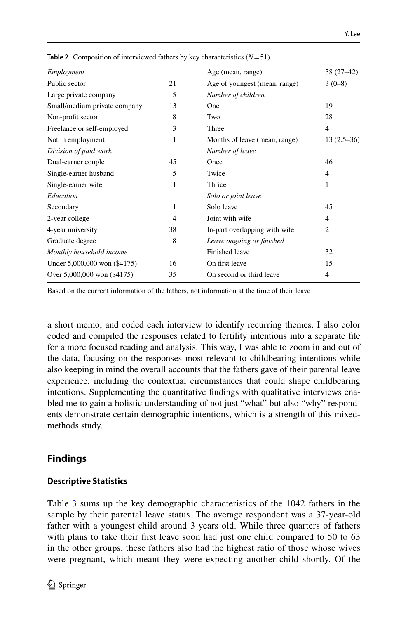| Employment                   |                | Age (mean, range)             | $38(27-42)$    |
|------------------------------|----------------|-------------------------------|----------------|
| Public sector                | 21             | Age of youngest (mean, range) | $3(0-8)$       |
| Large private company        | 5              | Number of children            |                |
| Small/medium private company | 13             | One                           | 19             |
| Non-profit sector            | 8              | Two                           | 28             |
| Freelance or self-employed   | 3              | Three                         | $\overline{4}$ |
| Not in employment            | 1              | Months of leave (mean, range) | $13(2.5-36)$   |
| Division of paid work        |                | Number of leave               |                |
| Dual-earner couple           | 45             | Once                          | 46             |
| Single-earner husband        | 5              | Twice                         | $\overline{4}$ |
| Single-earner wife           | 1              | Thrice                        | 1              |
| Education                    |                | Solo or joint leave           |                |
| Secondary                    | 1              | Solo leave                    | 45             |
| 2-year college               | $\overline{4}$ | Joint with wife               | $\overline{4}$ |
| 4-year university            | 38             | In-part overlapping with wife | 2              |
| Graduate degree              | 8              | Leave ongoing or finished     |                |
| Monthly household income     |                | Finished leave                | 32             |
| Under 5,000,000 won (\$4175) | 16             | On first leave                | 15             |
| Over 5,000,000 won (\$4175)  | 35             | On second or third leave      | $\overline{4}$ |
|                              |                |                               |                |

<span id="page-13-1"></span>**Table 2** Composition of interviewed fathers by key characteristics (*N*=51)

Based on the current information of the fathers, not information at the time of their leave

a short memo, and coded each interview to identify recurring themes. I also color coded and compiled the responses related to fertility intentions into a separate fle for a more focused reading and analysis. This way, I was able to zoom in and out of the data, focusing on the responses most relevant to childbearing intentions while also keeping in mind the overall accounts that the fathers gave of their parental leave experience, including the contextual circumstances that could shape childbearing intentions. Supplementing the quantitative fndings with qualitative interviews enabled me to gain a holistic understanding of not just "what" but also "why" respondents demonstrate certain demographic intentions, which is a strength of this mixedmethods study.

## <span id="page-13-0"></span>**Findings**

#### **Descriptive Statistics**

Table [3](#page-14-0) sums up the key demographic characteristics of the 1042 fathers in the sample by their parental leave status. The average respondent was a 37-year-old father with a youngest child around 3 years old. While three quarters of fathers with plans to take their first leave soon had just one child compared to 50 to 63 in the other groups, these fathers also had the highest ratio of those whose wives were pregnant, which meant they were expecting another child shortly. Of the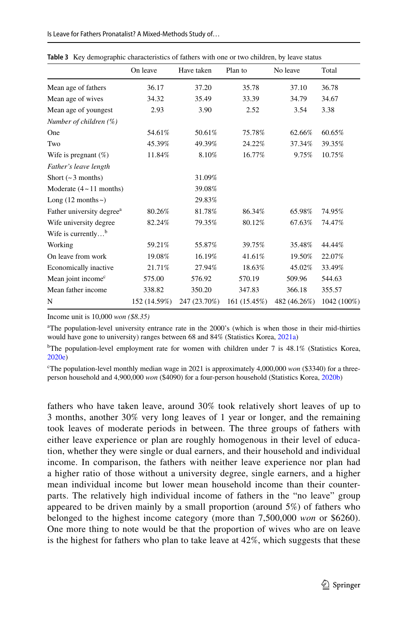|                                       | On leave     | Have taken   | Plan to      | No leave     | Total       |
|---------------------------------------|--------------|--------------|--------------|--------------|-------------|
|                                       |              |              |              |              |             |
| Mean age of fathers                   | 36.17        | 37.20        | 35.78        | 37.10        | 36.78       |
| Mean age of wives                     | 34.32        | 35.49        | 33.39        | 34.79        | 34.67       |
| Mean age of youngest                  | 2.93         | 3.90         | 2.52         | 3.54         | 3.38        |
| Number of children (%)                |              |              |              |              |             |
| One                                   | 54.61%       | 50.61%       | 75.78%       | 62.66%       | 60.65%      |
| Two                                   | 45.39%       | 49.39%       | 24.22%       | 37.34%       | 39.35%      |
| Wife is pregnant $(\%)$               | 11.84%       | 8.10%        | 16.77%       | 9.75%        | 10.75%      |
| Father's leave length                 |              |              |              |              |             |
| Short $({\sim}3$ months)              |              | 31.09%       |              |              |             |
| Moderate $(4 \sim 11$ months)         |              | 39.08%       |              |              |             |
| Long $(12$ months ~)                  |              | 29.83%       |              |              |             |
| Father university degree <sup>a</sup> | 80.26%       | 81.78%       | 86.34%       | 65.98%       | 74.95%      |
| Wife university degree                | 82.24%       | 79.35%       | 80.12%       | 67.63%       | 74.47%      |
| Wife is currently $b$                 |              |              |              |              |             |
| Working                               | 59.21%       | 55.87%       | 39.75%       | 35.48%       | 44.44%      |
| On leave from work                    | 19.08%       | 16.19%       | 41.61%       | 19.50%       | 22.07%      |
| Economically inactive                 | 21.71%       | 27.94%       | 18.63%       | 45.02%       | 33.49%      |
| Mean joint income <sup>c</sup>        | 575.00       | 576.92       | 570.19       | 509.96       | 544.63      |
| Mean father income                    | 338.82       | 350.20       | 347.83       | 366.18       | 355.57      |
| N                                     | 152 (14.59%) | 247 (23.70%) | 161 (15.45%) | 482 (46.26%) | 1042 (100%) |

<span id="page-14-0"></span>**Table 3** Key demographic characteristics of fathers with one or two children, by leave status

Income unit is 10,000 *won (\$8.35)*

a The population-level university entrance rate in the 2000's (which is when those in their mid-thirties would have gone to university) ranges between 68 and 84% (Statistics Korea, [2021a\)](#page-29-20)

<sup>b</sup>The population-level employment rate for women with children under 7 is 48.1% (Statistics Korea, [2020e\)](#page-29-13)

<sup>c</sup>The population-level monthly median wage in 2021 is approximately 4,000,000 *won* (\$3340) for a threeperson household and 4,900,000 *won* (\$4090) for a four-person household (Statistics Korea, [2020b\)](#page-29-21)

fathers who have taken leave, around 30% took relatively short leaves of up to 3 months, another 30% very long leaves of 1 year or longer, and the remaining took leaves of moderate periods in between. The three groups of fathers with either leave experience or plan are roughly homogenous in their level of education, whether they were single or dual earners, and their household and individual income. In comparison, the fathers with neither leave experience nor plan had a higher ratio of those without a university degree, single earners, and a higher mean individual income but lower mean household income than their counterparts. The relatively high individual income of fathers in the "no leave" group appeared to be driven mainly by a small proportion (around 5%) of fathers who belonged to the highest income category (more than 7,500,000 *won* or \$6260). One more thing to note would be that the proportion of wives who are on leave is the highest for fathers who plan to take leave at 42%, which suggests that these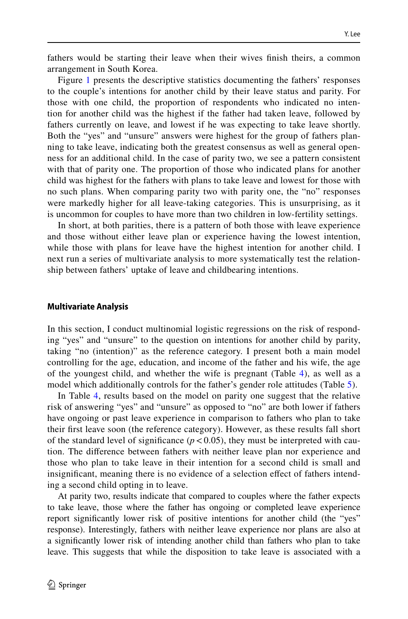fathers would be starting their leave when their wives fnish theirs, a common arrangement in South Korea.

Figure [1](#page-16-0) presents the descriptive statistics documenting the fathers' responses to the couple's intentions for another child by their leave status and parity. For those with one child, the proportion of respondents who indicated no intention for another child was the highest if the father had taken leave, followed by fathers currently on leave, and lowest if he was expecting to take leave shortly. Both the "yes" and "unsure" answers were highest for the group of fathers planning to take leave, indicating both the greatest consensus as well as general openness for an additional child. In the case of parity two, we see a pattern consistent with that of parity one. The proportion of those who indicated plans for another child was highest for the fathers with plans to take leave and lowest for those with no such plans. When comparing parity two with parity one, the "no" responses were markedly higher for all leave-taking categories. This is unsurprising, as it is uncommon for couples to have more than two children in low-fertility settings.

In short, at both parities, there is a pattern of both those with leave experience and those without either leave plan or experience having the lowest intention, while those with plans for leave have the highest intention for another child. I next run a series of multivariate analysis to more systematically test the relationship between fathers' uptake of leave and childbearing intentions.

#### **Multivariate Analysis**

In this section, I conduct multinomial logistic regressions on the risk of responding "yes" and "unsure" to the question on intentions for another child by parity, taking "no (intention)" as the reference category. I present both a main model controlling for the age, education, and income of the father and his wife, the age of the youngest child, and whether the wife is pregnant (Table [4\)](#page-17-0), as well as a model which additionally controls for the father's gender role attitudes (Table [5](#page-18-0)).

In Table [4](#page-17-0), results based on the model on parity one suggest that the relative risk of answering "yes" and "unsure" as opposed to "no" are both lower if fathers have ongoing or past leave experience in comparison to fathers who plan to take their frst leave soon (the reference category). However, as these results fall short of the standard level of significance  $(p < 0.05)$ , they must be interpreted with caution. The diference between fathers with neither leave plan nor experience and those who plan to take leave in their intention for a second child is small and insignifcant, meaning there is no evidence of a selection efect of fathers intending a second child opting in to leave.

At parity two, results indicate that compared to couples where the father expects to take leave, those where the father has ongoing or completed leave experience report signifcantly lower risk of positive intentions for another child (the "yes" response). Interestingly, fathers with neither leave experience nor plans are also at a signifcantly lower risk of intending another child than fathers who plan to take leave. This suggests that while the disposition to take leave is associated with a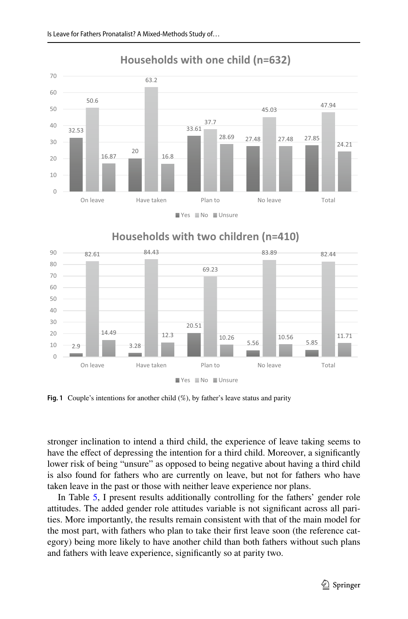

## **Households with one child (n=632)**





<span id="page-16-0"></span>**Fig. 1** Couple's intentions for another child (%), by father's leave status and parity

stronger inclination to intend a third child, the experience of leave taking seems to have the effect of depressing the intention for a third child. Moreover, a significantly lower risk of being "unsure" as opposed to being negative about having a third child is also found for fathers who are currently on leave, but not for fathers who have taken leave in the past or those with neither leave experience nor plans.

In Table [5](#page-18-0), I present results additionally controlling for the fathers' gender role attitudes. The added gender role attitudes variable is not signifcant across all parities. More importantly, the results remain consistent with that of the main model for the most part, with fathers who plan to take their frst leave soon (the reference category) being more likely to have another child than both fathers without such plans and fathers with leave experience, signifcantly so at parity two.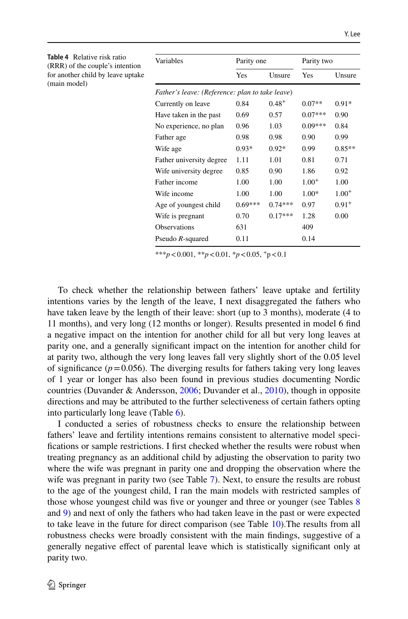<span id="page-17-0"></span>

| <b>Table 4</b> Relative risk ratio<br>(RRR) of the couple's intention | Variables                                       | Parity one |            | Parity two |            |
|-----------------------------------------------------------------------|-------------------------------------------------|------------|------------|------------|------------|
| for another child by leave uptake<br>(main model)                     |                                                 | Yes        | Unsure     | Yes        | Unsure     |
|                                                                       | Father's leave: (Reference: plan to take leave) |            |            |            |            |
|                                                                       | Currently on leave                              | 0.84       | $0.48^{+}$ | $0.07**$   | $0.91*$    |
|                                                                       | Have taken in the past                          | 0.69       | 0.57       | $0.07***$  | 0.90       |
|                                                                       | No experience, no plan                          | 0.96       | 1.03       | $0.09***$  | 0.84       |
|                                                                       | Father age                                      | 0.98       | 0.98       | 0.90       | 0.99       |
|                                                                       | Wife age                                        | $0.93*$    | $0.92*$    | 0.99       | $0.85**$   |
|                                                                       | Father university degree                        | 1.11       | 1.01       | 0.81       | 0.71       |
|                                                                       | Wife university degree                          | 0.85       | 0.90       | 1.86       | 0.92       |
|                                                                       | Father income                                   | 1.00       | 1.00       | $1.00^{+}$ | 1.00       |
|                                                                       | Wife income                                     | 1.00       | 1.00       | 1.00*      | $1.00^{+}$ |
|                                                                       | Age of youngest child                           | $0.69***$  | $0.74***$  | 0.97       | $0.91^{+}$ |
|                                                                       | Wife is pregnant                                | 0.70       | $0.17***$  | 1.28       | 0.00       |
|                                                                       | <b>Observations</b>                             | 631        |            | 409        |            |
|                                                                       | Pseudo $R$ -squared                             | 0.11       |            | 0.14       |            |

\*\*\**p*<0.001, \*\**p*<0.01, \**p*<0.05, +p<0.1

To check whether the relationship between fathers' leave uptake and fertility intentions varies by the length of the leave, I next disaggregated the fathers who have taken leave by the length of their leave: short (up to 3 months), moderate (4 to 11 months), and very long (12 months or longer). Results presented in model 6 fnd a negative impact on the intention for another child for all but very long leaves at parity one, and a generally signifcant impact on the intention for another child for at parity two, although the very long leaves fall very slightly short of the 0.05 level of significance ( $p=0.056$ ). The diverging results for fathers taking very long leaves of 1 year or longer has also been found in previous studies documenting Nordic countries (Duvander & Andersson, [2006;](#page-27-1) Duvander et al., [2010](#page-27-2)), though in opposite directions and may be attributed to the further selectiveness of certain fathers opting into particularly long leave (Table [6](#page-19-0)).

I conducted a series of robustness checks to ensure the relationship between fathers' leave and fertility intentions remains consistent to alternative model specifcations or sample restrictions. I frst checked whether the results were robust when treating pregnancy as an additional child by adjusting the observation to parity two where the wife was pregnant in parity one and dropping the observation where the wife was pregnant in parity two (see Table [7](#page-20-0)). Next, to ensure the results are robust to the age of the youngest child, I ran the main models with restricted samples of those whose youngest child was fve or younger and three or younger (see Tables [8](#page-20-1) and [9](#page-21-0)) and next of only the fathers who had taken leave in the past or were expected to take leave in the future for direct comparison (see Table [10](#page-21-1)).The results from all robustness checks were broadly consistent with the main fndings, suggestive of a generally negative efect of parental leave which is statistically signifcant only at parity two.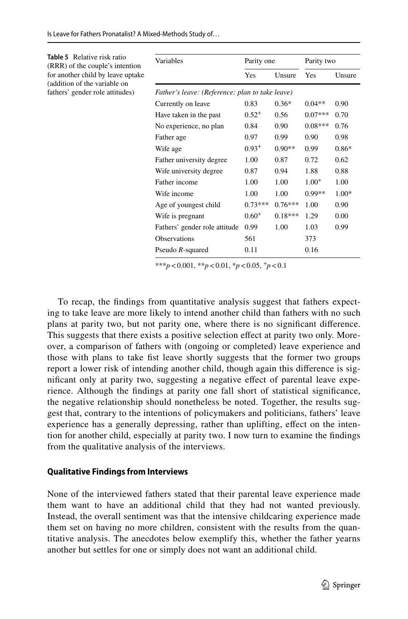<span id="page-18-0"></span>

| <b>Table 5</b> Relative risk ratio<br>(RRR) of the couple's intention | Variables                                       | Parity one |           | Parity two |         |
|-----------------------------------------------------------------------|-------------------------------------------------|------------|-----------|------------|---------|
| for another child by leave uptake<br>(addition of the variable on     |                                                 | Yes        | Unsure    | Yes        | Unsure  |
| fathers' gender role attitudes)                                       | Father's leave: (Reference: plan to take leave) |            |           |            |         |
|                                                                       | Currently on leave                              | 0.83       | $0.36*$   | $0.04**$   | 0.90    |
|                                                                       | Have taken in the past                          | $0.52^{+}$ | 0.56      | $0.07***$  | 0.70    |
|                                                                       | No experience, no plan                          | 0.84       | 0.90      | $0.08***$  | 0.76    |
|                                                                       | Father age                                      | 0.97       | 0.99      | 0.90       | 0.98    |
|                                                                       | Wife age                                        | $0.93^{+}$ | $0.90**$  | 0.99       | $0.86*$ |
|                                                                       | Father university degree                        | 1.00       | 0.87      | 0.72       | 0.62    |
|                                                                       | Wife university degree                          | 0.87       | 0.94      | 1.88       | 0.88    |
|                                                                       | Father income                                   | 1.00       | 1.00      | $1.00^{+}$ | 1.00    |
|                                                                       | Wife income                                     | 1.00       | 1.00      | $0.99**$   | $1.00*$ |
|                                                                       | Age of youngest child                           | $0.73***$  | $0.76***$ | 1.00       | 0.90    |
|                                                                       | Wife is pregnant                                | $0.60^{+}$ | $0.18***$ | 1.29       | 0.00    |
|                                                                       | Fathers' gender role attitude                   | 0.99       | 1.00      | 1.03       | 0.99    |
|                                                                       | Observations                                    | 561        |           | 373        |         |
|                                                                       | Pseudo R-squared                                | 0.11       |           | 0.16       |         |

\*\*\**p*<0.001, \*\**p*<0.01, \**p*<0.05,  $^+p$ <0.1

To recap, the fndings from quantitative analysis suggest that fathers expecting to take leave are more likely to intend another child than fathers with no such plans at parity two, but not parity one, where there is no signifcant diference. This suggests that there exists a positive selection efect at parity two only. Moreover, a comparison of fathers with (ongoing or completed) leave experience and those with plans to take fst leave shortly suggests that the former two groups report a lower risk of intending another child, though again this diference is signifcant only at parity two, suggesting a negative efect of parental leave experience. Although the fndings at parity one fall short of statistical signifcance, the negative relationship should nonetheless be noted. Together, the results suggest that, contrary to the intentions of policymakers and politicians, fathers' leave experience has a generally depressing, rather than uplifting, effect on the intention for another child, especially at parity two. I now turn to examine the fndings from the qualitative analysis of the interviews.

#### **Qualitative Findings from Interviews**

None of the interviewed fathers stated that their parental leave experience made them want to have an additional child that they had not wanted previously. Instead, the overall sentiment was that the intensive childcaring experience made them set on having no more children, consistent with the results from the quantitative analysis. The anecdotes below exemplify this, whether the father yearns another but settles for one or simply does not want an additional child.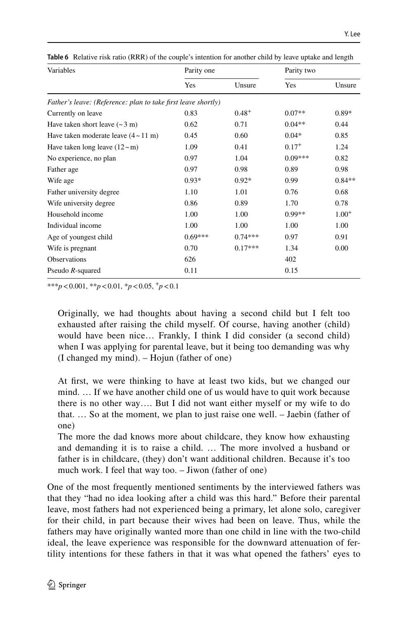| Variables                                                     | Parity one |            | Parity two |            |
|---------------------------------------------------------------|------------|------------|------------|------------|
|                                                               | Yes        | Unsure     | Yes        | Unsure     |
| Father's leave: (Reference: plan to take first leave shortly) |            |            |            |            |
| Currently on leave                                            | 0.83       | $0.48^{+}$ | $0.07**$   | $0.89*$    |
| Have taken short leave $({\sim}3 \text{ m})$                  | 0.62       | 0.71       | $0.04**$   | 0.44       |
| Have taken moderate leave $(4 \sim 11 \text{ m})$             | 0.45       | 0.60       | $0.04*$    | 0.85       |
| Have taken long leave $(12 \sim m)$                           | 1.09       | 0.41       | $0.17^{+}$ | 1.24       |
| No experience, no plan                                        | 0.97       | 1.04       | $0.09***$  | 0.82       |
| Father age                                                    | 0.97       | 0.98       | 0.89       | 0.98       |
| Wife age                                                      | $0.93*$    | $0.92*$    | 0.99       | $0.84**$   |
| Father university degree                                      | 1.10       | 1.01       | 0.76       | 0.68       |
| Wife university degree                                        | 0.86       | 0.89       | 1.70       | 0.78       |
| Household income                                              | 1.00       | 1.00       | $0.99**$   | $1.00^{+}$ |
| Individual income                                             | 1.00       | 1.00       | 1.00       | 1.00       |
| Age of youngest child                                         | $0.69***$  | $0.74***$  | 0.97       | 0.91       |
| Wife is pregnant                                              | 0.70       | $0.17***$  | 1.34       | 0.00       |
| <b>Observations</b>                                           | 626        |            | 402        |            |
| Pseudo R-squared                                              | 0.11       |            | 0.15       |            |

<span id="page-19-0"></span>**Table 6** Relative risk ratio (RRR) of the couple's intention for another child by leave uptake and length

\*\*\**p*<0.001, \*\**p*<0.01, \**p*<0.05, +*p*<0.1

Originally, we had thoughts about having a second child but I felt too exhausted after raising the child myself. Of course, having another (child) would have been nice… Frankly, I think I did consider (a second child) when I was applying for parental leave, but it being too demanding was why (I changed my mind). – Hojun (father of one)

At frst, we were thinking to have at least two kids, but we changed our mind. … If we have another child one of us would have to quit work because there is no other way…. But I did not want either myself or my wife to do that. … So at the moment, we plan to just raise one well. – Jaebin (father of one)

The more the dad knows more about childcare, they know how exhausting and demanding it is to raise a child. … The more involved a husband or father is in childcare, (they) don't want additional children. Because it's too much work. I feel that way too. – Jiwon (father of one)

One of the most frequently mentioned sentiments by the interviewed fathers was that they "had no idea looking after a child was this hard." Before their parental leave, most fathers had not experienced being a primary, let alone solo, caregiver for their child, in part because their wives had been on leave. Thus, while the fathers may have originally wanted more than one child in line with the two-child ideal, the leave experience was responsible for the downward attenuation of fertility intentions for these fathers in that it was what opened the fathers' eyes to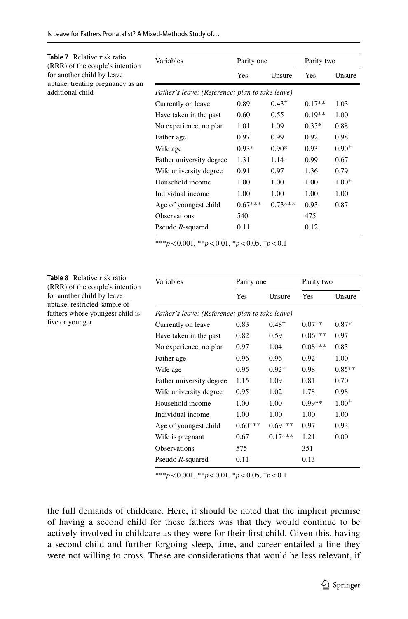<span id="page-20-0"></span>

| <b>Table 7</b> Relative risk ratio<br>(RRR) of the couple's intention | Variables                                       | Parity one |            | Parity two |            |
|-----------------------------------------------------------------------|-------------------------------------------------|------------|------------|------------|------------|
| for another child by leave                                            |                                                 | Yes        | Unsure     | Yes        | Unsure     |
| uptake, treating pregnancy as an<br>additional child                  | Father's leave: (Reference: plan to take leave) |            |            |            |            |
|                                                                       | Currently on leave                              | 0.89       | $0.43^{+}$ | $0.17**$   | 1.03       |
|                                                                       | Have taken in the past                          | 0.60       | 0.55       | $0.19**$   | 1.00       |
|                                                                       | No experience, no plan                          | 1.01       | 1.09       | $0.35*$    | 0.88       |
|                                                                       | Father age                                      | 0.97       | 0.99       | 0.92       | 0.98       |
|                                                                       | Wife age                                        | $0.93*$    | $0.90*$    | 0.93       | $0.90^{+}$ |
|                                                                       | Father university degree                        | 1.31       | 1.14       | 0.99       | 0.67       |
|                                                                       | Wife university degree                          | 0.91       | 0.97       | 1.36       | 0.79       |
|                                                                       | Household income                                | 1.00       | 1.00       | 1.00       | $1.00^{+}$ |
|                                                                       | Individual income                               | 1.00       | 1.00       | 1.00       | 1.00       |
|                                                                       | Age of youngest child                           | $0.67***$  | $0.73***$  | 0.93       | 0.87       |
|                                                                       | <b>Observations</b>                             | 540        |            | 475        |            |
|                                                                       | Pseudo $R$ -squared                             | 0.11       |            | 0.12       |            |

\*\*\**p*<0.001, \*\**p*<0.01, \**p*<0.05, +*p*<0.1

<span id="page-20-1"></span>

| <b>Table 8</b> Relative risk ratio<br>(RRR) of the couple's intention | Variables                                       | Parity one |            | Parity two |            |
|-----------------------------------------------------------------------|-------------------------------------------------|------------|------------|------------|------------|
| for another child by leave<br>uptake, restricted sample of            |                                                 | Yes        | Unsure     | Yes        | Unsure     |
| fathers whose youngest child is                                       | Father's leave: (Reference: plan to take leave) |            |            |            |            |
| five or younger                                                       | Currently on leave                              | 0.83       | $0.48^{+}$ | $0.07**$   | $0.87*$    |
|                                                                       | Have taken in the past                          | 0.82       | 0.59       | $0.06***$  | 0.97       |
|                                                                       | No experience, no plan                          | 0.97       | 1.04       | $0.08***$  | 0.83       |
|                                                                       | Father age                                      | 0.96       | 0.96       | 0.92       | 1.00       |
|                                                                       | Wife age                                        | 0.95       | $0.92*$    | 0.98       | $0.85**$   |
|                                                                       | Father university degree                        | 1.15       | 1.09       | 0.81       | 0.70       |
|                                                                       | Wife university degree                          | 0.95       | 1.02       | 1.78       | 0.98       |
|                                                                       | Household income                                | 1.00       | 1.00       | $0.99**$   | $1.00^{+}$ |
|                                                                       | Individual income                               | 1.00       | 1.00       | 1.00       | 1.00       |
|                                                                       | Age of youngest child                           | $0.60***$  | $0.69***$  | 0.97       | 0.93       |
|                                                                       | Wife is pregnant                                | 0.67       | $0.17***$  | 1.21       | 0.00       |
|                                                                       | Observations                                    | 575        |            | 351        |            |
|                                                                       | Pseudo R-squared                                | 0.11       |            | 0.13       |            |

\*\*\**p*<0.001, \*\**p*<0.01, \**p*<0.05, <sup>+</sup>*p*<0.1

the full demands of childcare. Here, it should be noted that the implicit premise of having a second child for these fathers was that they would continue to be actively involved in childcare as they were for their frst child. Given this, having a second child and further forgoing sleep, time, and career entailed a line they were not willing to cross. These are considerations that would be less relevant, if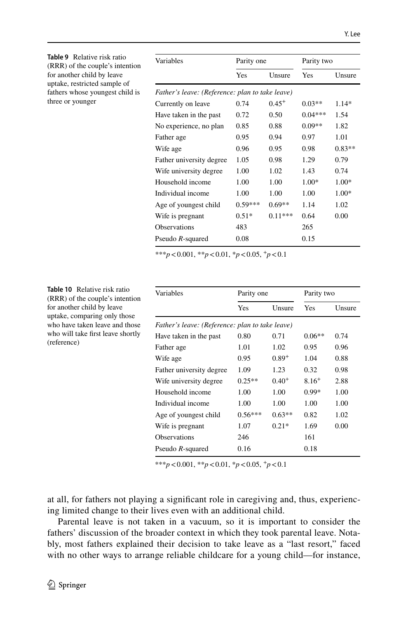<span id="page-21-0"></span>

| <b>Table 9</b> Relative risk ratio<br>(RRR) of the couple's intention | Variables                                       | Parity one |            | Parity two |          |
|-----------------------------------------------------------------------|-------------------------------------------------|------------|------------|------------|----------|
| for another child by leave<br>uptake, restricted sample of            |                                                 | Yes        | Unsure     | Yes        | Unsure   |
| fathers whose youngest child is                                       | Father's leave: (Reference: plan to take leave) |            |            |            |          |
| three or younger                                                      | Currently on leave                              | 0.74       | $0.45^{+}$ | $0.03**$   | $1.14*$  |
|                                                                       | Have taken in the past                          | 0.72       | 0.50       | $0.04***$  | 1.54     |
|                                                                       | No experience, no plan                          | 0.85       | 0.88       | $0.09**$   | 1.82     |
|                                                                       | Father age                                      | 0.95       | 0.94       | 0.97       | 1.01     |
|                                                                       | Wife age                                        | 0.96       | 0.95       | 0.98       | $0.83**$ |
|                                                                       | Father university degree                        | 1.05       | 0.98       | 1.29       | 0.79     |
|                                                                       | Wife university degree                          | 1.00       | 1.02       | 1.43       | 0.74     |
|                                                                       | Household income                                | 1.00       | 1.00       | $1.00*$    | $1.00*$  |
|                                                                       | Individual income                               | 1.00       | 1.00       | 1.00       | $1.00*$  |
|                                                                       | Age of youngest child                           | $0.59***$  | $0.69**$   | 1.14       | 1.02     |
|                                                                       | Wife is pregnant                                | $0.51*$    | $0.11***$  | 0.64       | 0.00     |
|                                                                       | <b>Observations</b>                             | 483        |            | 265        |          |
|                                                                       | Pseudo R-squared                                | 0.08       |            | 0.15       |          |

\*\*\**p*<0.001, \*\**p*<0.01, \**p*<0.05, +*p*<0.1

| Variables                                       | Parity one |            | Parity two |        |
|-------------------------------------------------|------------|------------|------------|--------|
|                                                 | Yes        | Unsure     | Yes        | Unsure |
| Father's leave: (Reference: plan to take leave) |            |            |            |        |
| Have taken in the past                          | 0.80       | 0.71       | $0.06**$   | 0.74   |
| Father age                                      | 1.01       | 1.02       | 0.95       | 0.96   |
| Wife age                                        | 0.95       | $0.89^{+}$ | 1.04       | 0.88   |
| Father university degree                        | 1.09       | 1.23       | 0.32       | 0.98   |
| Wife university degree                          | $0.25**$   | $0.40^{+}$ | $8.16+$    | 2.88   |
| Household income                                | 1.00       | 1.00       | $0.99*$    | 1.00   |
| Individual income                               | 1.00       | 1.00       | 1.00       | 1.00   |
| Age of youngest child                           | $0.56***$  | $0.63**$   | 0.82       | 1.02   |
| Wife is pregnant                                | 1.07       | $0.21*$    | 1.69       | 0.00   |
| <b>Observations</b>                             | 246        |            | 161        |        |
| Pseudo $R$ -squared                             | 0.16       |            | 0.18       |        |

\*\*\**p*<0.001, \*\**p*<0.01, \**p*<0.05, <sup>+</sup>*p*<0.1

at all, for fathers not playing a signifcant role in caregiving and, thus, experiencing limited change to their lives even with an additional child.

Parental leave is not taken in a vacuum, so it is important to consider the fathers' discussion of the broader context in which they took parental leave. Notably, most fathers explained their decision to take leave as a "last resort," faced with no other ways to arrange reliable childcare for a young child—for instance,

<span id="page-21-1"></span>**Table 10** Relative risk ratio (RRR) of the couple's intention for another child by leave uptake, comparing only those who have taken leave and those who will take frst leave shortly (reference)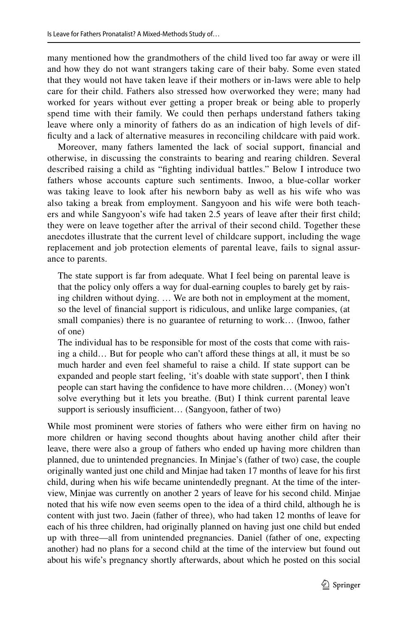many mentioned how the grandmothers of the child lived too far away or were ill and how they do not want strangers taking care of their baby. Some even stated that they would not have taken leave if their mothers or in-laws were able to help care for their child. Fathers also stressed how overworked they were; many had worked for years without ever getting a proper break or being able to properly spend time with their family. We could then perhaps understand fathers taking leave where only a minority of fathers do as an indication of high levels of diffculty and a lack of alternative measures in reconciling childcare with paid work.

Moreover, many fathers lamented the lack of social support, fnancial and otherwise, in discussing the constraints to bearing and rearing children. Several described raising a child as "fghting individual battles." Below I introduce two fathers whose accounts capture such sentiments. Inwoo, a blue-collar worker was taking leave to look after his newborn baby as well as his wife who was also taking a break from employment. Sangyoon and his wife were both teachers and while Sangyoon's wife had taken 2.5 years of leave after their frst child; they were on leave together after the arrival of their second child. Together these anecdotes illustrate that the current level of childcare support, including the wage replacement and job protection elements of parental leave, fails to signal assurance to parents.

The state support is far from adequate. What I feel being on parental leave is that the policy only offers a way for dual-earning couples to barely get by raising children without dying. … We are both not in employment at the moment, so the level of fnancial support is ridiculous, and unlike large companies, (at small companies) there is no guarantee of returning to work… (Inwoo, father of one)

The individual has to be responsible for most of the costs that come with raising a child... But for people who can't afford these things at all, it must be so much harder and even feel shameful to raise a child. If state support can be expanded and people start feeling, 'it's doable with state support', then I think people can start having the confdence to have more children… (Money) won't solve everything but it lets you breathe. (But) I think current parental leave support is seriously insufficient... (Sangyoon, father of two)

While most prominent were stories of fathers who were either frm on having no more children or having second thoughts about having another child after their leave, there were also a group of fathers who ended up having more children than planned, due to unintended pregnancies. In Minjae's (father of two) case, the couple originally wanted just one child and Minjae had taken 17 months of leave for his frst child, during when his wife became unintendedly pregnant. At the time of the interview, Minjae was currently on another 2 years of leave for his second child. Minjae noted that his wife now even seems open to the idea of a third child, although he is content with just two. Jaein (father of three), who had taken 12 months of leave for each of his three children, had originally planned on having just one child but ended up with three—all from unintended pregnancies. Daniel (father of one, expecting another) had no plans for a second child at the time of the interview but found out about his wife's pregnancy shortly afterwards, about which he posted on this social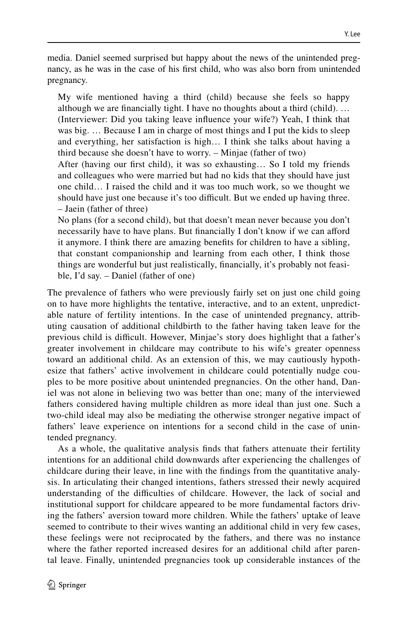media. Daniel seemed surprised but happy about the news of the unintended pregnancy, as he was in the case of his frst child, who was also born from unintended pregnancy.

My wife mentioned having a third (child) because she feels so happy although we are fnancially tight. I have no thoughts about a third (child). … (Interviewer: Did you taking leave infuence your wife?) Yeah, I think that was big. … Because I am in charge of most things and I put the kids to sleep and everything, her satisfaction is high… I think she talks about having a third because she doesn't have to worry. – Minjae (father of two)

After (having our frst child), it was so exhausting… So I told my friends and colleagues who were married but had no kids that they should have just one child… I raised the child and it was too much work, so we thought we should have just one because it's too difficult. But we ended up having three. – Jaein (father of three)

No plans (for a second child), but that doesn't mean never because you don't necessarily have to have plans. But fnancially I don't know if we can aford it anymore. I think there are amazing benefts for children to have a sibling, that constant companionship and learning from each other, I think those things are wonderful but just realistically, fnancially, it's probably not feasible, I'd say. – Daniel (father of one)

The prevalence of fathers who were previously fairly set on just one child going on to have more highlights the tentative, interactive, and to an extent, unpredictable nature of fertility intentions. In the case of unintended pregnancy, attributing causation of additional childbirth to the father having taken leave for the previous child is difcult. However, Minjae's story does highlight that a father's greater involvement in childcare may contribute to his wife's greater openness toward an additional child. As an extension of this, we may cautiously hypothesize that fathers' active involvement in childcare could potentially nudge couples to be more positive about unintended pregnancies. On the other hand, Daniel was not alone in believing two was better than one; many of the interviewed fathers considered having multiple children as more ideal than just one. Such a two-child ideal may also be mediating the otherwise stronger negative impact of fathers' leave experience on intentions for a second child in the case of unintended pregnancy.

As a whole, the qualitative analysis fnds that fathers attenuate their fertility intentions for an additional child downwards after experiencing the challenges of childcare during their leave, in line with the fndings from the quantitative analysis. In articulating their changed intentions, fathers stressed their newly acquired understanding of the difficulties of childcare. However, the lack of social and institutional support for childcare appeared to be more fundamental factors driving the fathers' aversion toward more children. While the fathers' uptake of leave seemed to contribute to their wives wanting an additional child in very few cases, these feelings were not reciprocated by the fathers, and there was no instance where the father reported increased desires for an additional child after parental leave. Finally, unintended pregnancies took up considerable instances of the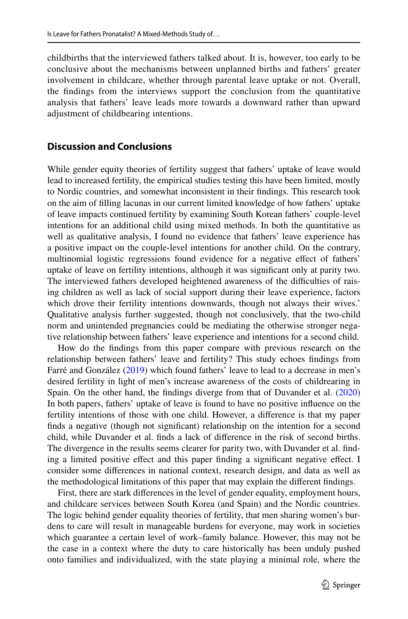childbirths that the interviewed fathers talked about. It is, however, too early to be conclusive about the mechanisms between unplanned births and fathers' greater involvement in childcare, whether through parental leave uptake or not. Overall, the fndings from the interviews support the conclusion from the quantitative analysis that fathers' leave leads more towards a downward rather than upward adjustment of childbearing intentions.

## **Discussion and Conclusions**

While gender equity theories of fertility suggest that fathers' uptake of leave would lead to increased fertility, the empirical studies testing this have been limited, mostly to Nordic countries, and somewhat inconsistent in their fndings. This research took on the aim of flling lacunas in our current limited knowledge of how fathers' uptake of leave impacts continued fertility by examining South Korean fathers' couple-level intentions for an additional child using mixed methods. In both the quantitative as well as qualitative analysis, I found no evidence that fathers' leave experience has a positive impact on the couple-level intentions for another child. On the contrary, multinomial logistic regressions found evidence for a negative efect of fathers' uptake of leave on fertility intentions, although it was signifcant only at parity two. The interviewed fathers developed heightened awareness of the difficulties of raising children as well as lack of social support during their leave experience, factors which drove their fertility intentions downwards, though not always their wives.' Qualitative analysis further suggested, though not conclusively, that the two-child norm and unintended pregnancies could be mediating the otherwise stronger negative relationship between fathers' leave experience and intentions for a second child.

How do the fndings from this paper compare with previous research on the relationship between fathers' leave and fertility? This study echoes fndings from Farré and González ([2019\)](#page-28-10) which found fathers' leave to lead to a decrease in men's desired fertility in light of men's increase awareness of the costs of childrearing in Spain. On the other hand, the fndings diverge from that of Duvander et al. [\(2020](#page-28-9)) In both papers, fathers' uptake of leave is found to have no positive infuence on the fertility intentions of those with one child. However, a diference is that my paper fnds a negative (though not signifcant) relationship on the intention for a second child, while Duvander et al. fnds a lack of diference in the risk of second births. The divergence in the results seems clearer for parity two, with Duvander et al. fnding a limited positive efect and this paper fnding a signifcant negative efect. I consider some diferences in national context, research design, and data as well as the methodological limitations of this paper that may explain the diferent fndings.

First, there are stark diferences in the level of gender equality, employment hours, and childcare services between South Korea (and Spain) and the Nordic countries. The logic behind gender equality theories of fertility, that men sharing women's burdens to care will result in manageable burdens for everyone, may work in societies which guarantee a certain level of work–family balance. However, this may not be the case in a context where the duty to care historically has been unduly pushed onto families and individualized, with the state playing a minimal role, where the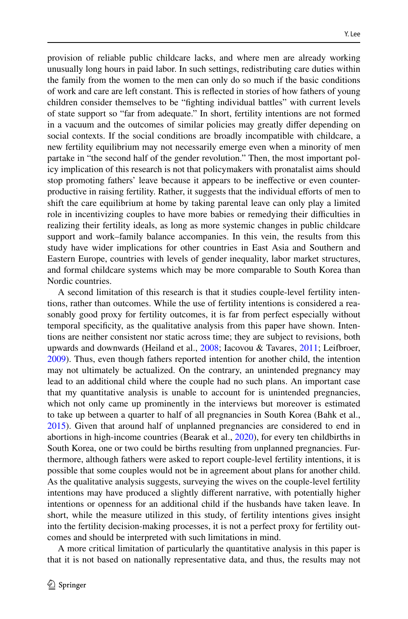provision of reliable public childcare lacks, and where men are already working unusually long hours in paid labor. In such settings, redistributing care duties within the family from the women to the men can only do so much if the basic conditions of work and care are left constant. This is refected in stories of how fathers of young children consider themselves to be "fghting individual battles" with current levels of state support so "far from adequate." In short, fertility intentions are not formed in a vacuum and the outcomes of similar policies may greatly difer depending on social contexts. If the social conditions are broadly incompatible with childcare, a new fertility equilibrium may not necessarily emerge even when a minority of men partake in "the second half of the gender revolution." Then, the most important policy implication of this research is not that policymakers with pronatalist aims should stop promoting fathers' leave because it appears to be inefective or even counterproductive in raising fertility. Rather, it suggests that the individual eforts of men to shift the care equilibrium at home by taking parental leave can only play a limited role in incentivizing couples to have more babies or remedying their difculties in realizing their fertility ideals, as long as more systemic changes in public childcare support and work–family balance accompanies. In this vein, the results from this study have wider implications for other countries in East Asia and Southern and Eastern Europe, countries with levels of gender inequality, labor market structures, and formal childcare systems which may be more comparable to South Korea than Nordic countries.

A second limitation of this research is that it studies couple-level fertility intentions, rather than outcomes. While the use of fertility intentions is considered a reasonably good proxy for fertility outcomes, it is far from perfect especially without temporal specifcity, as the qualitative analysis from this paper have shown. Intentions are neither consistent nor static across time; they are subject to revisions, both upwards and downwards (Heiland et al., [2008;](#page-28-23) Iacovou & Tavares, [2011;](#page-28-24) Leifbroer, [2009](#page-28-25)). Thus, even though fathers reported intention for another child, the intention may not ultimately be actualized. On the contrary, an unintended pregnancy may lead to an additional child where the couple had no such plans. An important case that my quantitative analysis is unable to account for is unintended pregnancies, which not only came up prominently in the interviews but moreover is estimated to take up between a quarter to half of all pregnancies in South Korea (Bahk et al., [2015](#page-27-6)). Given that around half of unplanned pregnancies are considered to end in abortions in high-income countries (Bearak et al., [2020](#page-27-7)), for every ten childbirths in South Korea, one or two could be births resulting from unplanned pregnancies. Furthermore, although fathers were asked to report couple-level fertility intentions, it is possible that some couples would not be in agreement about plans for another child. As the qualitative analysis suggests, surveying the wives on the couple-level fertility intentions may have produced a slightly diferent narrative, with potentially higher intentions or openness for an additional child if the husbands have taken leave. In short, while the measure utilized in this study, of fertility intentions gives insight into the fertility decision-making processes, it is not a perfect proxy for fertility outcomes and should be interpreted with such limitations in mind.

A more critical limitation of particularly the quantitative analysis in this paper is that it is not based on nationally representative data, and thus, the results may not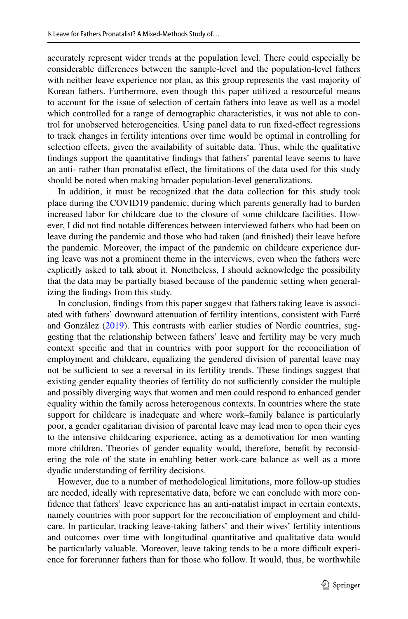accurately represent wider trends at the population level. There could especially be considerable diferences between the sample-level and the population-level fathers with neither leave experience nor plan, as this group represents the vast majority of Korean fathers. Furthermore, even though this paper utilized a resourceful means to account for the issue of selection of certain fathers into leave as well as a model which controlled for a range of demographic characteristics, it was not able to control for unobserved heterogeneities. Using panel data to run fxed-efect regressions to track changes in fertility intentions over time would be optimal in controlling for selection efects, given the availability of suitable data. Thus, while the qualitative fndings support the quantitative fndings that fathers' parental leave seems to have an anti- rather than pronatalist effect, the limitations of the data used for this study should be noted when making broader population-level generalizations.

In addition, it must be recognized that the data collection for this study took place during the COVID19 pandemic, during which parents generally had to burden increased labor for childcare due to the closure of some childcare facilities. However, I did not fnd notable diferences between interviewed fathers who had been on leave during the pandemic and those who had taken (and fnished) their leave before the pandemic. Moreover, the impact of the pandemic on childcare experience during leave was not a prominent theme in the interviews, even when the fathers were explicitly asked to talk about it. Nonetheless, I should acknowledge the possibility that the data may be partially biased because of the pandemic setting when generalizing the fndings from this study.

In conclusion, fndings from this paper suggest that fathers taking leave is associated with fathers' downward attenuation of fertility intentions, consistent with Farré and González ([2019\)](#page-28-10). This contrasts with earlier studies of Nordic countries, suggesting that the relationship between fathers' leave and fertility may be very much context specifc and that in countries with poor support for the reconciliation of employment and childcare, equalizing the gendered division of parental leave may not be sufficient to see a reversal in its fertility trends. These findings suggest that existing gender equality theories of fertility do not sufficiently consider the multiple and possibly diverging ways that women and men could respond to enhanced gender equality within the family across heterogenous contexts. In countries where the state support for childcare is inadequate and where work–family balance is particularly poor, a gender egalitarian division of parental leave may lead men to open their eyes to the intensive childcaring experience, acting as a demotivation for men wanting more children. Theories of gender equality would, therefore, beneft by reconsidering the role of the state in enabling better work-care balance as well as a more dyadic understanding of fertility decisions.

However, due to a number of methodological limitations, more follow-up studies are needed, ideally with representative data, before we can conclude with more confdence that fathers' leave experience has an anti-natalist impact in certain contexts, namely countries with poor support for the reconciliation of employment and childcare. In particular, tracking leave-taking fathers' and their wives' fertility intentions and outcomes over time with longitudinal quantitative and qualitative data would be particularly valuable. Moreover, leave taking tends to be a more difficult experience for forerunner fathers than for those who follow. It would, thus, be worthwhile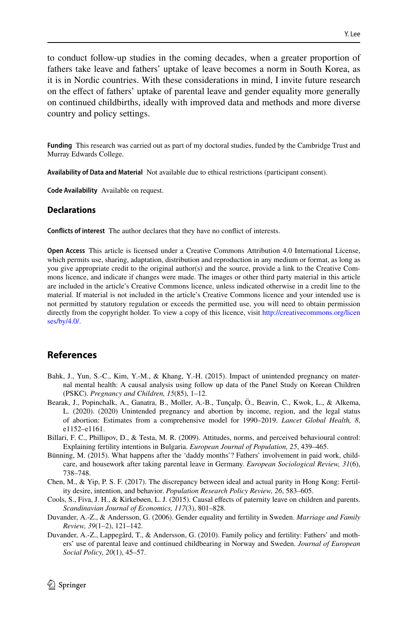to conduct follow-up studies in the coming decades, when a greater proportion of fathers take leave and fathers' uptake of leave becomes a norm in South Korea, as it is in Nordic countries. With these considerations in mind, I invite future research on the efect of fathers' uptake of parental leave and gender equality more generally on continued childbirths, ideally with improved data and methods and more diverse country and policy settings.

**Funding** This research was carried out as part of my doctoral studies, funded by the Cambridge Trust and Murray Edwards College.

**Availability of Data and Material** Not available due to ethical restrictions (participant consent).

**Code Availability** Available on request.

#### **Declarations**

**Conficts of interest** The author declares that they have no confict of interests.

**Open Access** This article is licensed under a Creative Commons Attribution 4.0 International License, which permits use, sharing, adaptation, distribution and reproduction in any medium or format, as long as you give appropriate credit to the original author(s) and the source, provide a link to the Creative Commons licence, and indicate if changes were made. The images or other third party material in this article are included in the article's Creative Commons licence, unless indicated otherwise in a credit line to the material. If material is not included in the article's Creative Commons licence and your intended use is not permitted by statutory regulation or exceeds the permitted use, you will need to obtain permission directly from the copyright holder. To view a copy of this licence, visit [http://creativecommons.org/licen](http://creativecommons.org/licenses/by/4.0/) [ses/by/4.0/](http://creativecommons.org/licenses/by/4.0/).

### **References**

- <span id="page-27-6"></span>Bahk, J., Yun, S.-C., Kim, Y.-M., & Khang, Y.-H. (2015). Impact of unintended pregnancy on maternal mental health: A causal analysis using follow up data of the Panel Study on Korean Children (PSKC). *Pregnancy and Children, 15*(85), 1–12.
- <span id="page-27-7"></span>Bearak, J., Popinchalk, A., Ganatra, B., Moller, A.-B., Tunçalp, Ö., Beavin, C., Kwok, L., & Alkema, L. (2020). (2020) Unintended pregnancy and abortion by income, region, and the legal status of abortion: Estimates from a comprehensive model for 1990–2019. *Lancet Global Health, 8*, e1152–e1161.
- <span id="page-27-5"></span>Billari, F. C., Phillipov, D., & Testa, M. R. (2009). Attitudes, norms, and perceived behavioural control: Explaining fertility intentions in Bulgaria. *European Journal of Population, 25*, 439–465.
- <span id="page-27-0"></span>Bünning, M. (2015). What happens after the 'daddy months'? Fathers' involvement in paid work, childcare, and housework after taking parental leave in Germany. *European Sociological Review, 31*(6), 738–748.
- <span id="page-27-4"></span>Chen, M., & Yip, P. S. F. (2017). The discrepancy between ideal and actual parity in Hong Kong: Fertility desire, intention, and behavior. *Population Research Policy Review, 26*, 583–605.
- <span id="page-27-3"></span>Cools, S., Fiva, J. H., & Kirkebøen, L. J. (2015). Causal effects of paternity leave on children and parents. *Scandinavian Journal of Economics, 117*(3), 801–828.
- <span id="page-27-1"></span>Duvander, A.-Z., & Andersson, G. (2006). Gender equality and fertility in Sweden. *Marriage and Family Review, 39*(1–2), 121–142.
- <span id="page-27-2"></span>Duvander, A.-Z., Lappegård, T., & Andersson, G. (2010). Family policy and fertility: Fathers' and mothers' use of parental leave and continued childbearing in Norway and Sweden. *Journal of European Social Policy, 20*(1), 45–57.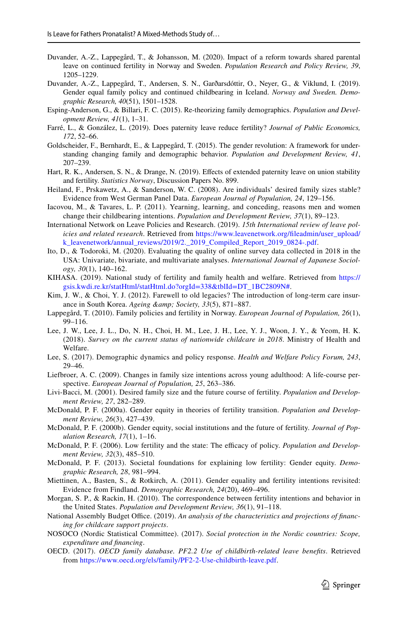- <span id="page-28-9"></span>Duvander, A.-Z., Lappegård, T., & Johansson, M. (2020). Impact of a reform towards shared parental leave on continued fertility in Norway and Sweden. *Population Research and Policy Review, 39*, 1205–1229.
- <span id="page-28-6"></span>Duvander, A.-Z., Lappegård, T., Andersen, S. N., Garðarsdóttir, O., Neyer, G., & Viklund, I. (2019). Gender equal family policy and continued childbearing in Iceland. *Norway and Sweden. Demographic Research, 40*(51), 1501–1528.
- <span id="page-28-5"></span>Esping-Anderson, G., & Billari, F. C. (2015). Re-theorizing family demographics. *Population and Development Review, 41*(1), 1–31.
- <span id="page-28-10"></span>Farré, L., & González, L. (2019). Does paternity leave reduce fertility? *Journal of Public Economics, 172*, 52–66.
- <span id="page-28-4"></span>Goldscheider, F., Bernhardt, E., & Lappegård, T. (2015). The gender revolution: A framework for understanding changing family and demographic behavior. *Population and Development Review, 41*, 207–239.
- <span id="page-28-8"></span>Hart, R. K., Andersen, S. N., & Drange, N. (2019). Efects of extended paternity leave on union stability and fertility. *Statistics Norway*, Discussion Papers No. 899.
- <span id="page-28-23"></span>Heiland, F., Prskawetz, A., & Sanderson, W. C. (2008). Are individuals' desired family sizes stable? Evidence from West German Panel Data. *European Journal of Population, 24*, 129–156.
- <span id="page-28-24"></span>Iacovou, M., & Tavares, L. P. (2011). Yearning, learning, and conceding, reasons men and women change their childbearing intentions. *Population and Development Review, 37*(1), 89–123.
- <span id="page-28-17"></span>International Network on Leave Policies and Research. (2019). *15th International review of leave policies and related research*. Retrieved from https://www.leavenetwork.org/fileadmin/user\_upload/ [k\\_leavenetwork/annual\\_reviews/2019/2.\\_2019\\_Compiled\\_Report\\_2019\\_0824-.pdf.](https://www.leavenetwork.org/fileadmin/user_upload/k_leavenetwork/annual_reviews/2019/2._2019_Compiled_Report_2019_0824-.pdf)
- <span id="page-28-19"></span>Ito, D., & Todoroki, M. (2020). Evaluating the quality of online survey data collected in 2018 in the USA: Univariate, bivariate, and multivariate analyses. *International Journal of Japanese Sociology, 30*(1), 140–162.
- <span id="page-28-13"></span>KIHASA. (2019). National study of fertility and family health and welfare. Retrieved from [https://](https://gsis.kwdi.re.kr/statHtml/statHtml.do?orgId=338&tblId=DT_1BC2809N#) [gsis.kwdi.re.kr/statHtml/statHtml.do?orgId=338&tblId=DT\\_1BC2809N#](https://gsis.kwdi.re.kr/statHtml/statHtml.do?orgId=338&tblId=DT_1BC2809N#).
- <span id="page-28-11"></span>Kim, J. W., & Choi, Y. J. (2012). Farewell to old legacies? The introduction of long-term care insurance in South Korea. *Ageing &amp*; Society, 33(5), 871-887.
- <span id="page-28-7"></span>Lappegård, T. (2010). Family policies and fertility in Norway. *European Journal of Population, 26*(1), 99–116.
- <span id="page-28-12"></span>Lee, J. W., Lee, J. L., Do, N. H., Choi, H. M., Lee, J. H., Lee, Y. J., Woon, J. Y., & Yeom, H. K. (2018). *Survey on the current status of nationwide childcare in 2018*. Ministry of Health and Welfare.
- <span id="page-28-14"></span>Lee, S. (2017). Demographic dynamics and policy response. *Health and Welfare Policy Forum, 243*, 29–46.
- <span id="page-28-25"></span>Liefbroer, A. C. (2009). Changes in family size intentions across young adulthood: A life-course perspective. *European Journal of Population, 25*, 263–386.
- <span id="page-28-20"></span>Livi-Bacci, M. (2001). Desired family size and the future course of fertility. *Population and Development Review, 27*, 282–289.
- <span id="page-28-0"></span>McDonald, P. F. (2000a). Gender equity in theories of fertility transition. *Population and Development Review, 26*(3), 427–439.
- <span id="page-28-1"></span>McDonald, P. F. (2000b). Gender equity, social institutions and the future of fertility. *Journal of Population Research, 17*(1), 1–16.
- <span id="page-28-2"></span>McDonald, P. F. (2006). Low fertility and the state: The efficacy of policy. *Population and Development Review, 32*(3), 485–510.
- <span id="page-28-3"></span>McDonald, P. F. (2013). Societal foundations for explaining low fertility: Gender equity. *Demographic Research, 28*, 981–994.
- <span id="page-28-21"></span>Miettinen, A., Basten, S., & Rotkirch, A. (2011). Gender equality and fertility intentions revisited: Evidence from Findland. *Demographic Research, 24*(20), 469–496.
- <span id="page-28-22"></span>Morgan, S. P., & Rackin, H. (2010). The correspondence between fertility intentions and behavior in the United States. *Population and Development Review, 36*(1), 91–118.
- <span id="page-28-18"></span>National Assembly Budget Office. (2019). An analysis of the characteristics and projections of financ*ing for childcare support projects*.
- <span id="page-28-16"></span>NOSOCO (Nordic Statistical Committee). (2017). *Social protection in the Nordic countries: Scope, expenditure and fnancing*.
- <span id="page-28-15"></span>OECD. (2017). *OECD family database. PF2.2 Use of childbirth-related leave benefts*. Retrieved from <https://www.oecd.org/els/family/PF2-2-Use-childbirth-leave.pdf>.